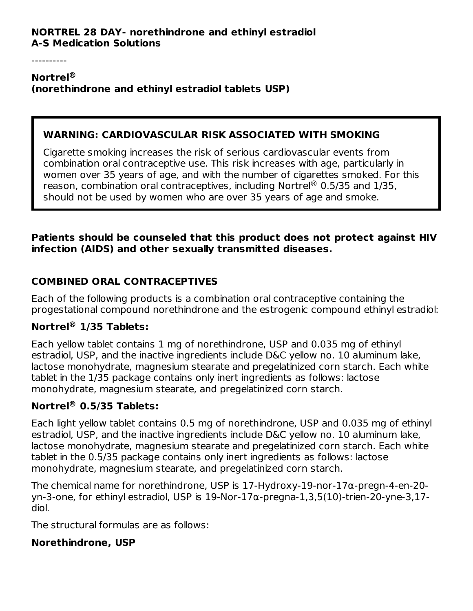----------

#### **Nortrel ®**

**(norethindrone and ethinyl estradiol tablets USP)**

#### **WARNING: CARDIOVASCULAR RISK ASSOCIATED WITH SMOKING**

Cigarette smoking increases the risk of serious cardiovascular events from combination oral contraceptive use. This risk increases with age, particularly in women over 35 years of age, and with the number of cigarettes smoked. For this reason, combination oral contraceptives, including Nortrel $^\circledR$  0.5/35 and 1/35, should not be used by women who are over 35 years of age and smoke.

#### **Patients should be counseled that this product does not protect against HIV infection (AIDS) and other sexually transmitted diseases.**

### **COMBINED ORAL CONTRACEPTIVES**

Each of the following products is a combination oral contraceptive containing the progestational compound norethindrone and the estrogenic compound ethinyl estradiol:

#### **Nortrel 1/35 Tablets: ®**

Each yellow tablet contains 1 mg of norethindrone, USP and 0.035 mg of ethinyl estradiol, USP, and the inactive ingredients include D&C yellow no. 10 aluminum lake, lactose monohydrate, magnesium stearate and pregelatinized corn starch. Each white tablet in the 1/35 package contains only inert ingredients as follows: lactose monohydrate, magnesium stearate, and pregelatinized corn starch.

#### **Nortrel 0.5/35 Tablets: ®**

Each light yellow tablet contains 0.5 mg of norethindrone, USP and 0.035 mg of ethinyl estradiol, USP, and the inactive ingredients include D&C yellow no. 10 aluminum lake, lactose monohydrate, magnesium stearate and pregelatinized corn starch. Each white tablet in the 0.5/35 package contains only inert ingredients as follows: lactose monohydrate, magnesium stearate, and pregelatinized corn starch.

The chemical name for norethindrone, USP is 17-Hydroxy-19-nor-17α-pregn-4-en-20 yn-3-one, for ethinyl estradiol, USP is 19-Nor-17α-pregna-1,3,5(10)-trien-20-yne-3,17 diol.

The structural formulas are as follows:

#### **Norethindrone, USP**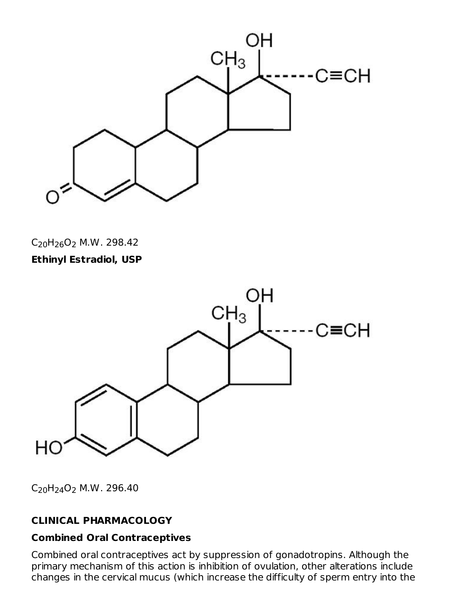

C<sub>20</sub>H<sub>26</sub>O<sub>2</sub> M.W. 298.42

**Ethinyl Estradiol, USP**



C<sub>20</sub>H<sub>24</sub>O<sub>2</sub> M.W. 296.40

# **CLINICAL PHARMACOLOGY**

# **Combined Oral Contraceptives**

Combined oral contraceptives act by suppression of gonadotropins. Although the primary mechanism of this action is inhibition of ovulation, other alterations include changes in the cervical mucus (which increase the difficulty of sperm entry into the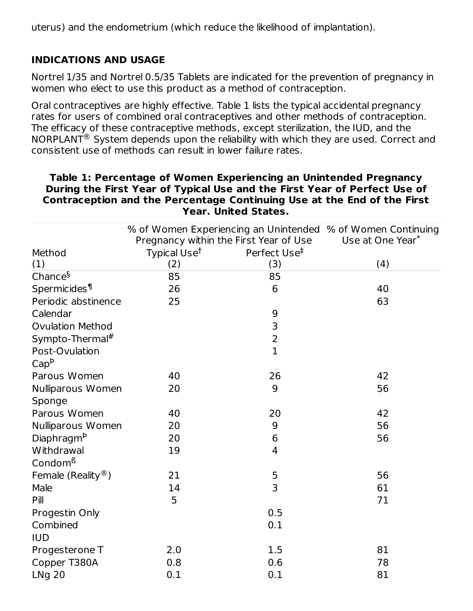uterus) and the endometrium (which reduce the likelihood of implantation).

#### **INDICATIONS AND USAGE**

Nortrel 1/35 and Nortrel 0.5/35 Tablets are indicated for the prevention of pregnancy in women who elect to use this product as a method of contraception.

Oral contraceptives are highly effective. Table 1 lists the typical accidental pregnancy rates for users of combined oral contraceptives and other methods of contraception. The efficacy of these contraceptive methods, except sterilization, the IUD, and the  $NORPLANT<sup>®</sup>$  System depends upon the reliability with which they are used. Correct and consistent use of methods can result in lower failure rates.

#### **Table 1: Percentage of Women Experiencing an Unintended Pregnancy During the First Year of Typical Use and the First Year of Perfect Use of Contraception and the Percentage Continuing Use at the End of the First Year. United States.**

|                          | Pregnancy within the First Year of Use | % of Women Experiencing an Unintended % of Women Continuing<br>Use at One Year <sup>*</sup> |     |
|--------------------------|----------------------------------------|---------------------------------------------------------------------------------------------|-----|
| Method                   | Typical Use <sup>t</sup>               | Perfect Use <sup>‡</sup>                                                                    |     |
| (1)                      | (2)                                    | (3)                                                                                         | (4) |
| Chance <sup>§</sup>      | 85                                     | 85                                                                                          |     |
| Spermicides <sup>¶</sup> | 26                                     | 6                                                                                           | 40  |
| Periodic abstinence      | 25                                     |                                                                                             | 63  |
| Calendar                 |                                        | $\boldsymbol{9}$                                                                            |     |
| <b>Ovulation Method</b>  |                                        | 3                                                                                           |     |
| Sympto-Thermal#          |                                        | $\overline{2}$                                                                              |     |
| Post-Ovulation           |                                        | $\mathbf{1}$                                                                                |     |
| Cap <sup>b</sup>         |                                        |                                                                                             |     |
| Parous Women             | 40                                     | 26                                                                                          | 42  |
| Nulliparous Women        | 20                                     | 9                                                                                           | 56  |
| Sponge                   |                                        |                                                                                             |     |
| Parous Women             | 40                                     | 20                                                                                          | 42  |
| Nulliparous Women        | 20                                     | 9                                                                                           | 56  |
| Diaphragm <sup>b</sup>   | 20                                     | 6                                                                                           | 56  |
| <b>Withdrawal</b>        | 19                                     | $\overline{4}$                                                                              |     |
| Condom <sup>ß</sup>      |                                        |                                                                                             |     |
| Female (Reality®)        | 21                                     | 5                                                                                           | 56  |
| Male                     | 14                                     | 3                                                                                           | 61  |
| Pill                     | 5                                      |                                                                                             | 71  |
| Progestin Only           |                                        | 0.5                                                                                         |     |
| Combined                 |                                        | 0.1                                                                                         |     |
| <b>IUD</b>               |                                        |                                                                                             |     |
| Progesterone T           | 2.0                                    | 1.5                                                                                         | 81  |
| Copper T380A             | 0.8                                    | 0.6                                                                                         | 78  |
| <b>LNg 20</b>            | 0.1                                    | 0.1                                                                                         | 81  |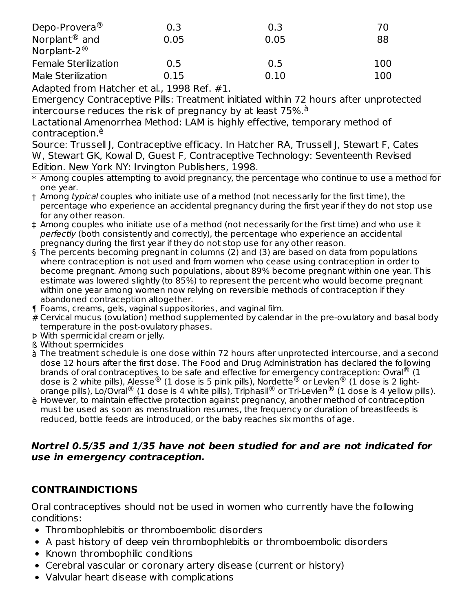| Depo-Provera <sup>®</sup>   | 0.3  | 0.3  | 70  |
|-----------------------------|------|------|-----|
| Norplant <sup>®</sup> and   | 0.05 | 0.05 | 88  |
| Norplant-2 <sup>®</sup>     |      |      |     |
| <b>Female Sterilization</b> | 0.5  | 0.5  | 100 |
| Male Sterilization          | 0.15 | 0.10 | 100 |

Adapted from Hatcher et al., 1998 Ref. #1.

Emergency Contraceptive Pills: Treatment initiated within 72 hours after unprotected intercourse reduces the risk of pregnancy by at least 75%.<sup>à</sup>

Lactational Amenorrhea Method: LAM is highly effective, temporary method of contraception.<sup>è</sup>

Source: Trussell J, Contraceptive efficacy. In Hatcher RA, Trussell J, Stewart F, Cates W, Stewart GK, Kowal D, Guest F, Contraceptive Technology: Seventeenth Revised Edition. New York NY: Irvington Publishers, 1998.

- $\ast$  Among couples attempting to avoid pregnancy, the percentage who continue to use a method for one year.
- † Among typical couples who initiate use of a method (not necessarily for the first time), the percentage who experience an accidental pregnancy during the first year if they do not stop use for any other reason.
- ‡ Among couples who initiate use of a method (not necessarily for the first time) and who use it perfectly (both consistently and correctly), the percentage who experience an accidental pregnancy during the first year if they do not stop use for any other reason.
- § The percents becoming pregnant in columns (2) and (3) are based on data from populations where contraception is not used and from women who cease using contraception in order to become pregnant. Among such populations, about 89% become pregnant within one year. This estimate was lowered slightly (to 85%) to represent the percent who would become pregnant within one year among women now relying on reversible methods of contraception if they abandoned contraception altogether.
- ¶ Foams, creams, gels, vaginal suppositories, and vaginal film.
- # Cervical mucus (ovulation) method supplemented by calendar in the pre-ovulatory and basal body temperature in the post-ovulatory phases.
- Þ With spermicidal cream or jelly.
- ß Without spermicides
- à The treatment schedule is one dose within 72 hours after unprotected intercourse, and a second dose 12 hours after the first dose. The Food and Drug Administration has declared the following brands of oral contraceptives to be safe and effective for emergency contraception: Ovral $^{\circledR}$  (1 dose is 2 white pills), Alesse $^\circledast$  (1 dose is 5 pink pills), Nordette $^\circledast$  or Levlen $^\circledast$  (1 dose is 2 lightorange pills), Lo/Ovral $^{\circledR}$  (1 dose is 4 white pills), Triphasil $^{\circledR}$  or Tri-Levlen $^{\circledR}$  (1 dose is 4 yellow pills).  $^{\circledR}$  (1 dose is 5 nink nills). Nordette $^{\circledR}$  or Levlen  $^{\circledR}$  $^{\circledR}$  (1 dose is 4 white pills) Triphasil $^{\circledR}$  or Tri-Leylen $^{\circledR}$
- è However, to maintain effective protection against pregnancy, another method of contraception must be used as soon as menstruation resumes, the frequency or duration of breastfeeds is reduced, bottle feeds are introduced, or the baby reaches six months of age.

#### **Nortrel 0.5/35 and 1/35 have not been studied for and are not indicated for use in emergency contraception.**

# **CONTRAINDICTIONS**

Oral contraceptives should not be used in women who currently have the following conditions:

- Thrombophlebitis or thromboembolic disorders
- A past history of deep vein thrombophlebitis or thromboembolic disorders
- Known thrombophilic conditions
- Cerebral vascular or coronary artery disease (current or history)
- Valvular heart disease with complications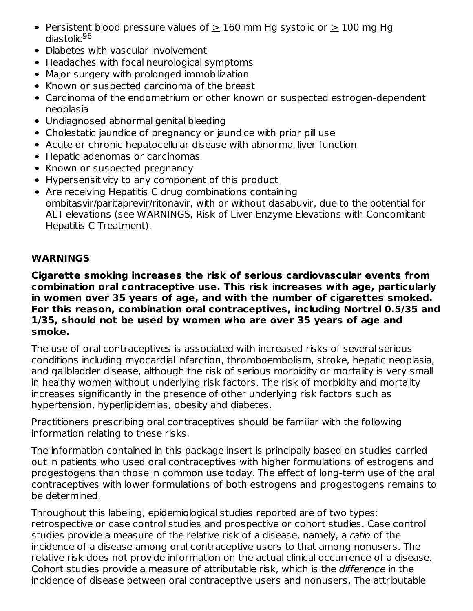- Persistent blood pressure values of  $>$  160 mm Hg systolic or  $>$  100 mg Hg diastolic 96
- Diabetes with vascular involvement
- Headaches with focal neurological symptoms
- Major surgery with prolonged immobilization
- Known or suspected carcinoma of the breast
- Carcinoma of the endometrium or other known or suspected estrogen-dependent neoplasia
- Undiagnosed abnormal genital bleeding
- Cholestatic jaundice of pregnancy or jaundice with prior pill use
- Acute or chronic hepatocellular disease with abnormal liver function
- Hepatic adenomas or carcinomas
- Known or suspected pregnancy
- Hypersensitivity to any component of this product
- Are receiving Hepatitis C drug combinations containing ombitasvir/paritaprevir/ritonavir, with or without dasabuvir, due to the potential for ALT elevations (see WARNINGS, Risk of Liver Enzyme Elevations with Concomitant Hepatitis C Treatment).

# **WARNINGS**

**Cigarette smoking increases the risk of serious cardiovascular events from combination oral contraceptive use. This risk increases with age, particularly in women over 35 years of age, and with the number of cigarettes smoked. For this reason, combination oral contraceptives, including Nortrel 0.5/35 and 1/35, should not be used by women who are over 35 years of age and smoke.**

The use of oral contraceptives is associated with increased risks of several serious conditions including myocardial infarction, thromboembolism, stroke, hepatic neoplasia, and gallbladder disease, although the risk of serious morbidity or mortality is very small in healthy women without underlying risk factors. The risk of morbidity and mortality increases significantly in the presence of other underlying risk factors such as hypertension, hyperlipidemias, obesity and diabetes.

Practitioners prescribing oral contraceptives should be familiar with the following information relating to these risks.

The information contained in this package insert is principally based on studies carried out in patients who used oral contraceptives with higher formulations of estrogens and progestogens than those in common use today. The effect of long-term use of the oral contraceptives with lower formulations of both estrogens and progestogens remains to be determined.

Throughout this labeling, epidemiological studies reported are of two types: retrospective or case control studies and prospective or cohort studies. Case control studies provide a measure of the relative risk of a disease, namely, a ratio of the incidence of a disease among oral contraceptive users to that among nonusers. The relative risk does not provide information on the actual clinical occurrence of a disease. Cohort studies provide a measure of attributable risk, which is the difference in the incidence of disease between oral contraceptive users and nonusers. The attributable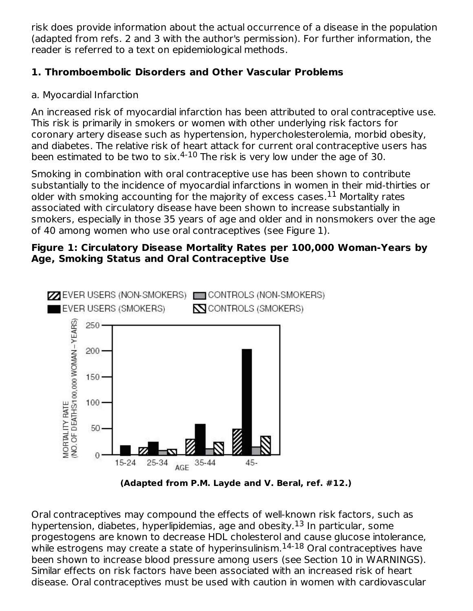risk does provide information about the actual occurrence of a disease in the population (adapted from refs. 2 and 3 with the author's permission). For further information, the reader is referred to a text on epidemiological methods.

# **1. Thromboembolic Disorders and Other Vascular Problems**

a. Myocardial Infarction

An increased risk of myocardial infarction has been attributed to oral contraceptive use. This risk is primarily in smokers or women with other underlying risk factors for coronary artery disease such as hypertension, hypercholesterolemia, morbid obesity, and diabetes. The relative risk of heart attack for current oral contraceptive users has been estimated to be two to  $\sin^{4-10}$  The risk is very low under the age of 30.

Smoking in combination with oral contraceptive use has been shown to contribute substantially to the incidence of myocardial infarctions in women in their mid-thirties or older with smoking accounting for the majority of excess cases. $^{\mathrm{11}}$  Mortality rates associated with circulatory disease have been shown to increase substantially in smokers, especially in those 35 years of age and older and in nonsmokers over the age of 40 among women who use oral contraceptives (see Figure 1).

#### **Figure 1: Circulatory Disease Mortality Rates per 100,000 Woman-Years by Age, Smoking Status and Oral Contraceptive Use**



**(Adapted from P.M. Layde and V. Beral, ref. #12.)**

Oral contraceptives may compound the effects of well-known risk factors, such as hypertension, diabetes, hyperlipidemias, age and obesity.<sup>13</sup> In particular, some progestogens are known to decrease HDL cholesterol and cause glucose intolerance, while estrogens may create a state of hyperinsulinism. $^{14\text{-}18}$  Oral contraceptives have been shown to increase blood pressure among users (see Section 10 in WARNINGS). Similar effects on risk factors have been associated with an increased risk of heart disease. Oral contraceptives must be used with caution in women with cardiovascular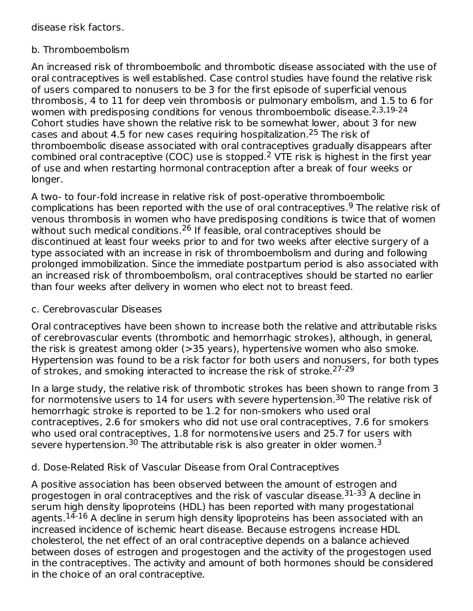#### disease risk factors.

#### b. Thromboembolism

An increased risk of thromboembolic and thrombotic disease associated with the use of oral contraceptives is well established. Case control studies have found the relative risk of users compared to nonusers to be 3 for the first episode of superficial venous thrombosis, 4 to 11 for deep vein thrombosis or pulmonary embolism, and 1.5 to 6 for women with predisposing conditions for venous thromboembolic disease. 2,3,19-24 Cohort studies have shown the relative risk to be somewhat lower, about 3 for new cases and about 4.5 for new cases requiring hospitalization.<sup>25</sup> The risk of thromboembolic disease associated with oral contraceptives gradually disappears after combined oral contraceptive (COC) use is stopped.<sup>2</sup> VTE risk is highest in the first year of use and when restarting hormonal contraception after a break of four weeks or longer.

A two- to four-fold increase in relative risk of post-operative thromboembolic complications has been reported with the use of oral contraceptives.<sup>9</sup> The relative risk of venous thrombosis in women who have predisposing conditions is twice that of women without such medical conditions.<sup>26</sup> If feasible, oral contraceptives should be discontinued at least four weeks prior to and for two weeks after elective surgery of a type associated with an increase in risk of thromboembolism and during and following prolonged immobilization. Since the immediate postpartum period is also associated with an increased risk of thromboembolism, oral contraceptives should be started no earlier than four weeks after delivery in women who elect not to breast feed.

#### c. Cerebrovascular Diseases

Oral contraceptives have been shown to increase both the relative and attributable risks of cerebrovascular events (thrombotic and hemorrhagic strokes), although, in general, the risk is greatest among older (>35 years), hypertensive women who also smoke. Hypertension was found to be a risk factor for both users and nonusers, for both types of strokes, and smoking interacted to increase the risk of stroke.<sup>27-29</sup>

In a large study, the relative risk of thrombotic strokes has been shown to range from 3 for normotensive users to 14 for users with severe hypertension.<sup>30</sup> The relative risk of hemorrhagic stroke is reported to be 1.2 for non-smokers who used oral contraceptives, 2.6 for smokers who did not use oral contraceptives, 7.6 for smokers who used oral contraceptives, 1.8 for normotensive users and 25.7 for users with severe hypertension. $^{\rm 30}$  The attributable risk is also greater in older women. $^{\rm 3}$ 

#### d. Dose-Related Risk of Vascular Disease from Oral Contraceptives

A positive association has been observed between the amount of estrogen and progestogen in oral contraceptives and the risk of vascular disease.<sup>31-33</sup> A decline in serum high density lipoproteins (HDL) has been reported with many progestational agents.<sup>14-16</sup> A decline in serum high density lipoproteins has been associated with an increased incidence of ischemic heart disease. Because estrogens increase HDL cholesterol, the net effect of an oral contraceptive depends on a balance achieved between doses of estrogen and progestogen and the activity of the progestogen used in the contraceptives. The activity and amount of both hormones should be considered in the choice of an oral contraceptive.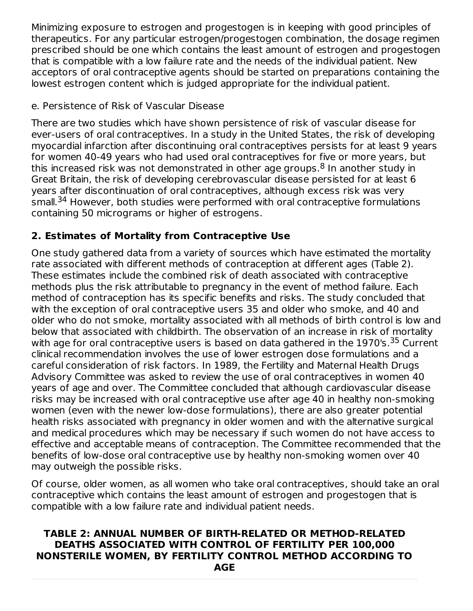Minimizing exposure to estrogen and progestogen is in keeping with good principles of therapeutics. For any particular estrogen/progestogen combination, the dosage regimen prescribed should be one which contains the least amount of estrogen and progestogen that is compatible with a low failure rate and the needs of the individual patient. New acceptors of oral contraceptive agents should be started on preparations containing the lowest estrogen content which is judged appropriate for the individual patient.

### e. Persistence of Risk of Vascular Disease

There are two studies which have shown persistence of risk of vascular disease for ever-users of oral contraceptives. In a study in the United States, the risk of developing myocardial infarction after discontinuing oral contraceptives persists for at least 9 years for women 40-49 years who had used oral contraceptives for five or more years, but this increased risk was not demonstrated in other age groups.<sup>8</sup> In another study in Great Britain, the risk of developing cerebrovascular disease persisted for at least 6 years after discontinuation of oral contraceptives, although excess risk was very small.<sup>34</sup> However, both studies were performed with oral contraceptive formulations containing 50 micrograms or higher of estrogens.

# **2. Estimates of Mortality from Contraceptive Use**

One study gathered data from a variety of sources which have estimated the mortality rate associated with different methods of contraception at different ages (Table 2). These estimates include the combined risk of death associated with contraceptive methods plus the risk attributable to pregnancy in the event of method failure. Each method of contraception has its specific benefits and risks. The study concluded that with the exception of oral contraceptive users 35 and older who smoke, and 40 and older who do not smoke, mortality associated with all methods of birth control is low and below that associated with childbirth. The observation of an increase in risk of mortality with age for oral contraceptive users is based on data gathered in the 1970's.<sup>35</sup> Current clinical recommendation involves the use of lower estrogen dose formulations and a careful consideration of risk factors. In 1989, the Fertility and Maternal Health Drugs Advisory Committee was asked to review the use of oral contraceptives in women 40 years of age and over. The Committee concluded that although cardiovascular disease risks may be increased with oral contraceptive use after age 40 in healthy non-smoking women (even with the newer low-dose formulations), there are also greater potential health risks associated with pregnancy in older women and with the alternative surgical and medical procedures which may be necessary if such women do not have access to effective and acceptable means of contraception. The Committee recommended that the benefits of low-dose oral contraceptive use by healthy non-smoking women over 40 may outweigh the possible risks.

Of course, older women, as all women who take oral contraceptives, should take an oral contraceptive which contains the least amount of estrogen and progestogen that is compatible with a low failure rate and individual patient needs.

#### **TABLE 2: ANNUAL NUMBER OF BIRTH-RELATED OR METHOD-RELATED DEATHS ASSOCIATED WITH CONTROL OF FERTILITY PER 100,000 NONSTERILE WOMEN, BY FERTILITY CONTROL METHOD ACCORDING TO AGE**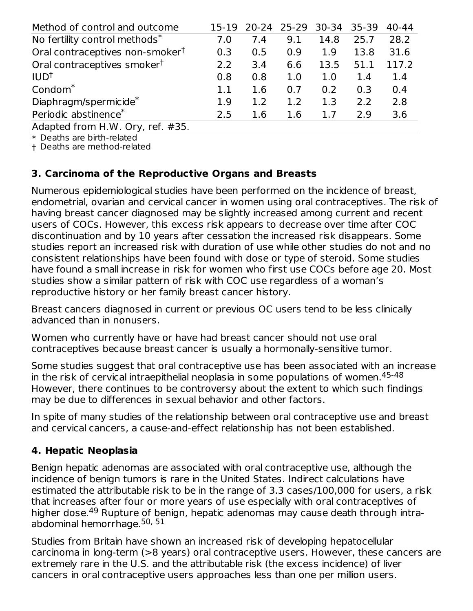| Method of control and outcome               | $15-19$ |     | 20-24 25-29 30-34 35-39 |      |      | 40-44 |
|---------------------------------------------|---------|-----|-------------------------|------|------|-------|
| No fertility control methods <sup>*</sup>   | 7.0     | 7.4 | 9.1                     | 14.8 | 25.7 | 28.2  |
| Oral contraceptives non-smoker <sup>†</sup> | 0.3     | 0.5 | 0.9                     | 1.9  | 13.8 | 31.6  |
| Oral contraceptives smoker <sup>†</sup>     | 2.2     | 3.4 | 6.6                     | 13.5 | 51.1 | 117.2 |
| IUD <sup>†</sup>                            | 0.8     | 0.8 | 1.0                     | 1.0  | 1.4  | 1.4   |
| $Condom^*$                                  | 1.1     | 1.6 | 0.7                     | 0.2  | 0.3  | 0.4   |
| Diaphragm/spermicide <sup>*</sup>           | 1.9     | 1.2 | 1.2                     | 1.3  | 2.2  | 2.8   |
| Periodic abstinence*                        | 2.5     | 1.6 | 1.6                     | 1.7  | 2.9  | 3.6   |
| $M$ anted from H W $\Delta r$ ref $H$ 35    |         |     |                         |      |      |       |

Adapted from H.W. Ory, ref. #35.

\* Deaths are birth-related

† Deaths are method-related

### **3. Carcinoma of the Reproductive Organs and Breasts**

Numerous epidemiological studies have been performed on the incidence of breast, endometrial, ovarian and cervical cancer in women using oral contraceptives. The risk of having breast cancer diagnosed may be slightly increased among current and recent users of COCs. However, this excess risk appears to decrease over time after COC discontinuation and by 10 years after cessation the increased risk disappears. Some studies report an increased risk with duration of use while other studies do not and no consistent relationships have been found with dose or type of steroid. Some studies have found a small increase in risk for women who first use COCs before age 20. Most studies show a similar pattern of risk with COC use regardless of a woman's reproductive history or her family breast cancer history.

Breast cancers diagnosed in current or previous OC users tend to be less clinically advanced than in nonusers.

Women who currently have or have had breast cancer should not use oral contraceptives because breast cancer is usually a hormonally-sensitive tumor.

Some studies suggest that oral contraceptive use has been associated with an increase in the risk of cervical intraepithelial neoplasia in some populations of women. 45-48 However, there continues to be controversy about the extent to which such findings may be due to differences in sexual behavior and other factors.

In spite of many studies of the relationship between oral contraceptive use and breast and cervical cancers, a cause-and-effect relationship has not been established.

#### **4. Hepatic Neoplasia**

Benign hepatic adenomas are associated with oral contraceptive use, although the incidence of benign tumors is rare in the United States. Indirect calculations have estimated the attributable risk to be in the range of 3.3 cases/100,000 for users, a risk that increases after four or more years of use especially with oral contraceptives of higher dose.<sup>49</sup> Rupture of benign, hepatic adenomas may cause death through intraabdominal hemorrhage. 50, 51

Studies from Britain have shown an increased risk of developing hepatocellular carcinoma in long-term (>8 years) oral contraceptive users. However, these cancers are extremely rare in the U.S. and the attributable risk (the excess incidence) of liver cancers in oral contraceptive users approaches less than one per million users.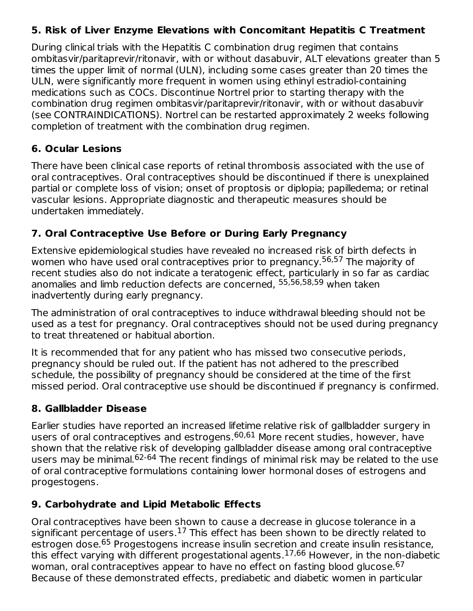### **5. Risk of Liver Enzyme Elevations with Concomitant Hepatitis C Treatment**

During clinical trials with the Hepatitis C combination drug regimen that contains ombitasvir/paritaprevir/ritonavir, with or without dasabuvir, ALT elevations greater than 5 times the upper limit of normal (ULN), including some cases greater than 20 times the ULN, were significantly more frequent in women using ethinyl estradiol-containing medications such as COCs. Discontinue Nortrel prior to starting therapy with the combination drug regimen ombitasvir/paritaprevir/ritonavir, with or without dasabuvir (see CONTRAINDICATIONS). Nortrel can be restarted approximately 2 weeks following completion of treatment with the combination drug regimen.

### **6. Ocular Lesions**

There have been clinical case reports of retinal thrombosis associated with the use of oral contraceptives. Oral contraceptives should be discontinued if there is unexplained partial or complete loss of vision; onset of proptosis or diplopia; papilledema; or retinal vascular lesions. Appropriate diagnostic and therapeutic measures should be undertaken immediately.

### **7. Oral Contraceptive Use Before or During Early Pregnancy**

Extensive epidemiological studies have revealed no increased risk of birth defects in women who have used oral contraceptives prior to pregnancy.<sup>56,57</sup> The majority of recent studies also do not indicate a teratogenic effect, particularly in so far as cardiac anomalies and limb reduction defects are concerned, <sup>55,56,58,59</sup> when taken inadvertently during early pregnancy.

The administration of oral contraceptives to induce withdrawal bleeding should not be used as a test for pregnancy. Oral contraceptives should not be used during pregnancy to treat threatened or habitual abortion.

It is recommended that for any patient who has missed two consecutive periods, pregnancy should be ruled out. If the patient has not adhered to the prescribed schedule, the possibility of pregnancy should be considered at the time of the first missed period. Oral contraceptive use should be discontinued if pregnancy is confirmed.

### **8. Gallbladder Disease**

Earlier studies have reported an increased lifetime relative risk of gallbladder surgery in users of oral contraceptives and estrogens.<sup>60,61</sup> More recent studies, however, have shown that the relative risk of developing gallbladder disease among oral contraceptive users may be minimal.<sup>62-64</sup> The recent findings of minimal risk may be related to the use of oral contraceptive formulations containing lower hormonal doses of estrogens and progestogens.

# **9. Carbohydrate and Lipid Metabolic Effects**

Oral contraceptives have been shown to cause a decrease in glucose tolerance in a significant percentage of users.<sup>17</sup> This effect has been shown to be directly related to estrogen dose.<sup>65</sup> Progestogens increase insulin secretion and create insulin resistance, this effect varying with different progestational agents. $^{17,66}$  However, in the non-diabetic woman, oral contraceptives appear to have no effect on fasting blood glucose.<sup>67</sup> Because of these demonstrated effects, prediabetic and diabetic women in particular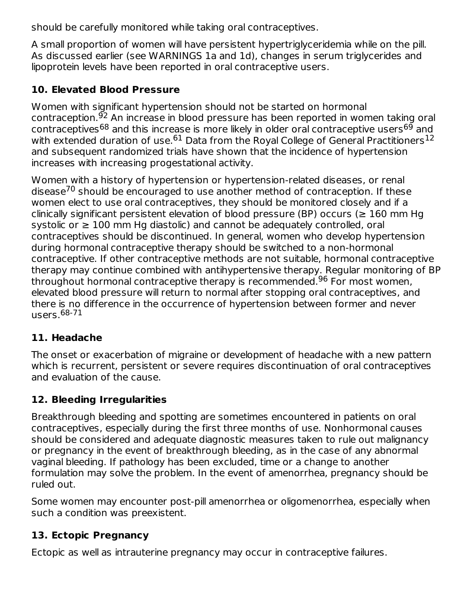should be carefully monitored while taking oral contraceptives.

A small proportion of women will have persistent hypertriglyceridemia while on the pill. As discussed earlier (see WARNINGS 1a and 1d), changes in serum triglycerides and lipoprotein levels have been reported in oral contraceptive users.

# **10. Elevated Blood Pressure**

Women with significant hypertension should not be started on hormonal contraception.<sup>92</sup> An increase in blood pressure has been reported in women taking oral contraceptives<sup>68</sup> and this increase is more likely in older oral contraceptive users<sup>69</sup> and with extended duration of use. $^{61}$  Data from the Royal College of General Practitioners $^{12}$ and subsequent randomized trials have shown that the incidence of hypertension increases with increasing progestational activity.

Women with a history of hypertension or hypertension-related diseases, or renal disease<sup>70</sup> should be encouraged to use another method of contraception. If these women elect to use oral contraceptives, they should be monitored closely and if a clinically significant persistent elevation of blood pressure (BP) occurs ( $\geq 160$  mm Hg systolic or  $\geq 100$  mm Hg diastolic) and cannot be adequately controlled, oral contraceptives should be discontinued. In general, women who develop hypertension during hormonal contraceptive therapy should be switched to a non-hormonal contraceptive. If other contraceptive methods are not suitable, hormonal contraceptive therapy may continue combined with antihypertensive therapy. Regular monitoring of BP throughout hormonal contraceptive therapy is recommended.<sup>96</sup> For most women, elevated blood pressure will return to normal after stopping oral contraceptives, and there is no difference in the occurrence of hypertension between former and never users. 68-71

# **11. Headache**

The onset or exacerbation of migraine or development of headache with a new pattern which is recurrent, persistent or severe requires discontinuation of oral contraceptives and evaluation of the cause.

# **12. Bleeding Irregularities**

Breakthrough bleeding and spotting are sometimes encountered in patients on oral contraceptives, especially during the first three months of use. Nonhormonal causes should be considered and adequate diagnostic measures taken to rule out malignancy or pregnancy in the event of breakthrough bleeding, as in the case of any abnormal vaginal bleeding. If pathology has been excluded, time or a change to another formulation may solve the problem. In the event of amenorrhea, pregnancy should be ruled out.

Some women may encounter post-pill amenorrhea or oligomenorrhea, especially when such a condition was preexistent.

# **13. Ectopic Pregnancy**

Ectopic as well as intrauterine pregnancy may occur in contraceptive failures.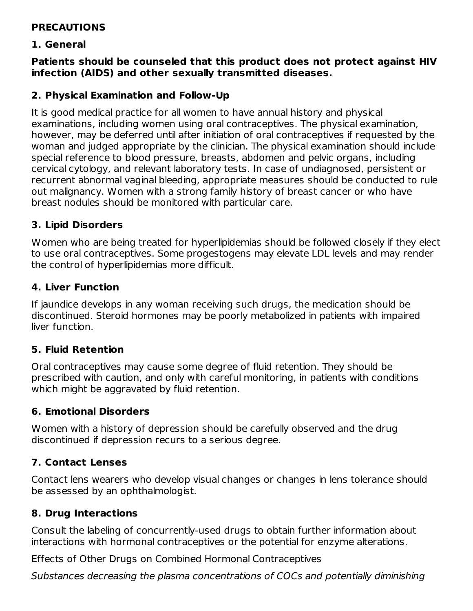#### **PRECAUTIONS**

#### **1. General**

#### **Patients should be counseled that this product does not protect against HIV infection (AIDS) and other sexually transmitted diseases.**

#### **2. Physical Examination and Follow-Up**

It is good medical practice for all women to have annual history and physical examinations, including women using oral contraceptives. The physical examination, however, may be deferred until after initiation of oral contraceptives if requested by the woman and judged appropriate by the clinician. The physical examination should include special reference to blood pressure, breasts, abdomen and pelvic organs, including cervical cytology, and relevant laboratory tests. In case of undiagnosed, persistent or recurrent abnormal vaginal bleeding, appropriate measures should be conducted to rule out malignancy. Women with a strong family history of breast cancer or who have breast nodules should be monitored with particular care.

#### **3. Lipid Disorders**

Women who are being treated for hyperlipidemias should be followed closely if they elect to use oral contraceptives. Some progestogens may elevate LDL levels and may render the control of hyperlipidemias more difficult.

#### **4. Liver Function**

If jaundice develops in any woman receiving such drugs, the medication should be discontinued. Steroid hormones may be poorly metabolized in patients with impaired liver function.

#### **5. Fluid Retention**

Oral contraceptives may cause some degree of fluid retention. They should be prescribed with caution, and only with careful monitoring, in patients with conditions which might be aggravated by fluid retention.

#### **6. Emotional Disorders**

Women with a history of depression should be carefully observed and the drug discontinued if depression recurs to a serious degree.

#### **7. Contact Lenses**

Contact lens wearers who develop visual changes or changes in lens tolerance should be assessed by an ophthalmologist.

#### **8. Drug Interactions**

Consult the labeling of concurrently-used drugs to obtain further information about interactions with hormonal contraceptives or the potential for enzyme alterations.

Effects of Other Drugs on Combined Hormonal Contraceptives

Substances decreasing the plasma concentrations of COCs and potentially diminishing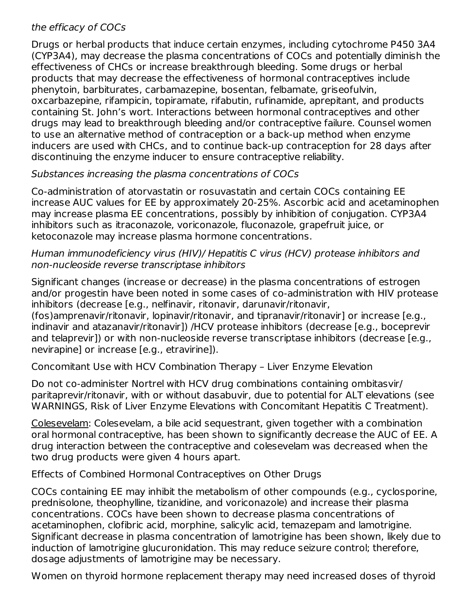### the efficacy of COCs

Drugs or herbal products that induce certain enzymes, including cytochrome P450 3A4 (CYP3A4), may decrease the plasma concentrations of COCs and potentially diminish the effectiveness of CHCs or increase breakthrough bleeding. Some drugs or herbal products that may decrease the effectiveness of hormonal contraceptives include phenytoin, barbiturates, carbamazepine, bosentan, felbamate, griseofulvin, oxcarbazepine, rifampicin, topiramate, rifabutin, rufinamide, aprepitant, and products containing St. John's wort. Interactions between hormonal contraceptives and other drugs may lead to breakthrough bleeding and/or contraceptive failure. Counsel women to use an alternative method of contraception or a back-up method when enzyme inducers are used with CHCs, and to continue back-up contraception for 28 days after discontinuing the enzyme inducer to ensure contraceptive reliability.

#### Substances increasing the plasma concentrations of COCs

Co-administration of atorvastatin or rosuvastatin and certain COCs containing EE increase AUC values for EE by approximately 20-25%. Ascorbic acid and acetaminophen may increase plasma EE concentrations, possibly by inhibition of conjugation. CYP3A4 inhibitors such as itraconazole, voriconazole, fluconazole, grapefruit juice, or ketoconazole may increase plasma hormone concentrations.

#### Human immunodeficiency virus (HIV)/ Hepatitis C virus (HCV) protease inhibitors and non-nucleoside reverse transcriptase inhibitors

Significant changes (increase or decrease) in the plasma concentrations of estrogen and/or progestin have been noted in some cases of co-administration with HIV protease inhibitors (decrease [e.g., nelfinavir, ritonavir, darunavir/ritonavir, (fos)amprenavir/ritonavir, lopinavir/ritonavir, and tipranavir/ritonavir] or increase [e.g., indinavir and atazanavir/ritonavir]) /HCV protease inhibitors (decrease [e.g., boceprevir and telaprevir]) or with non-nucleoside reverse transcriptase inhibitors (decrease [e.g.,

nevirapine] or increase [e.g., etravirine]).

Concomitant Use with HCV Combination Therapy – Liver Enzyme Elevation

Do not co-administer Nortrel with HCV drug combinations containing ombitasvir/ paritaprevir/ritonavir, with or without dasabuvir, due to potential for ALT elevations (see WARNINGS, Risk of Liver Enzyme Elevations with Concomitant Hepatitis C Treatment).

Colesevelam: Colesevelam, a bile acid sequestrant, given together with a combination oral hormonal contraceptive, has been shown to significantly decrease the AUC of EE. A drug interaction between the contraceptive and colesevelam was decreased when the two drug products were given 4 hours apart.

Effects of Combined Hormonal Contraceptives on Other Drugs

COCs containing EE may inhibit the metabolism of other compounds (e.g., cyclosporine, prednisolone, theophylline, tizanidine, and voriconazole) and increase their plasma concentrations. COCs have been shown to decrease plasma concentrations of acetaminophen, clofibric acid, morphine, salicylic acid, temazepam and lamotrigine. Significant decrease in plasma concentration of lamotrigine has been shown, likely due to induction of lamotrigine glucuronidation. This may reduce seizure control; therefore, dosage adjustments of lamotrigine may be necessary.

Women on thyroid hormone replacement therapy may need increased doses of thyroid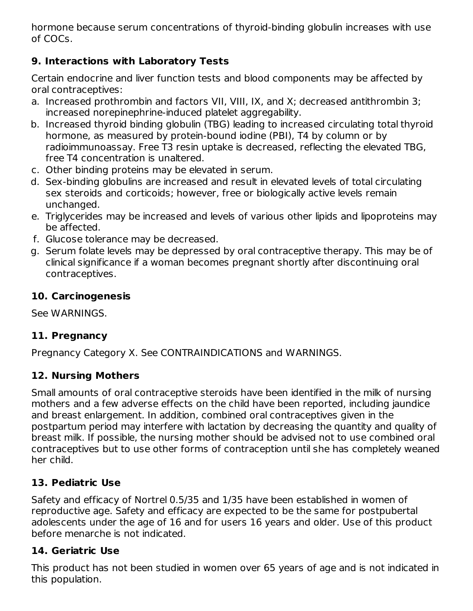hormone because serum concentrations of thyroid-binding globulin increases with use of COCs.

# **9. Interactions with Laboratory Tests**

Certain endocrine and liver function tests and blood components may be affected by oral contraceptives:

- a. Increased prothrombin and factors VII, VIII, IX, and X; decreased antithrombin 3; increased norepinephrine-induced platelet aggregability.
- b. Increased thyroid binding globulin (TBG) leading to increased circulating total thyroid hormone, as measured by protein-bound iodine (PBI), T4 by column or by radioimmunoassay. Free T3 resin uptake is decreased, reflecting the elevated TBG, free T4 concentration is unaltered.
- c. Other binding proteins may be elevated in serum.
- d. Sex-binding globulins are increased and result in elevated levels of total circulating sex steroids and corticoids; however, free or biologically active levels remain unchanged.
- e. Triglycerides may be increased and levels of various other lipids and lipoproteins may be affected.
- f. Glucose tolerance may be decreased.
- g. Serum folate levels may be depressed by oral contraceptive therapy. This may be of clinical significance if a woman becomes pregnant shortly after discontinuing oral contraceptives.

# **10. Carcinogenesis**

See WARNINGS.

# **11. Pregnancy**

Pregnancy Category X. See CONTRAINDICATIONS and WARNINGS.

# **12. Nursing Mothers**

Small amounts of oral contraceptive steroids have been identified in the milk of nursing mothers and a few adverse effects on the child have been reported, including jaundice and breast enlargement. In addition, combined oral contraceptives given in the postpartum period may interfere with lactation by decreasing the quantity and quality of breast milk. If possible, the nursing mother should be advised not to use combined oral contraceptives but to use other forms of contraception until she has completely weaned her child.

# **13. Pediatric Use**

Safety and efficacy of Nortrel 0.5/35 and 1/35 have been established in women of reproductive age. Safety and efficacy are expected to be the same for postpubertal adolescents under the age of 16 and for users 16 years and older. Use of this product before menarche is not indicated.

# **14. Geriatric Use**

This product has not been studied in women over 65 years of age and is not indicated in this population.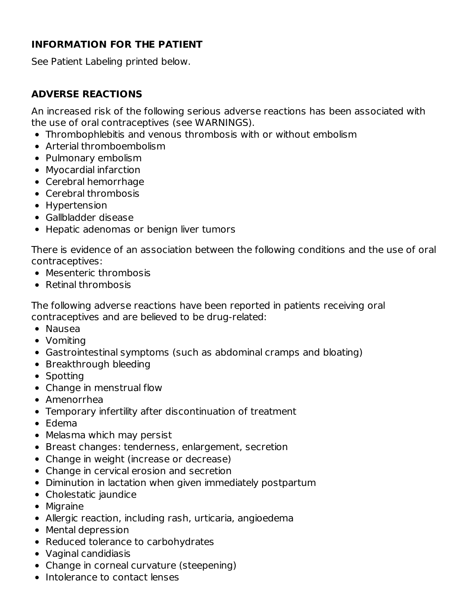### **INFORMATION FOR THE PATIENT**

See Patient Labeling printed below.

### **ADVERSE REACTIONS**

An increased risk of the following serious adverse reactions has been associated with the use of oral contraceptives (see WARNINGS).

- Thrombophlebitis and venous thrombosis with or without embolism
- Arterial thromboembolism
- Pulmonary embolism
- Myocardial infarction
- Cerebral hemorrhage
- Cerebral thrombosis
- Hypertension
- Gallbladder disease
- Hepatic adenomas or benign liver tumors

There is evidence of an association between the following conditions and the use of oral contraceptives:

- Mesenteric thrombosis
- Retinal thrombosis

The following adverse reactions have been reported in patients receiving oral contraceptives and are believed to be drug-related:

- Nausea
- Vomiting
- Gastrointestinal symptoms (such as abdominal cramps and bloating)
- Breakthrough bleeding
- Spotting
- Change in menstrual flow
- Amenorrhea
- Temporary infertility after discontinuation of treatment
- Edema
- Melasma which may persist
- Breast changes: tenderness, enlargement, secretion
- Change in weight (increase or decrease)
- Change in cervical erosion and secretion
- Diminution in lactation when given immediately postpartum
- Cholestatic jaundice
- Migraine
- Allergic reaction, including rash, urticaria, angioedema
- Mental depression
- Reduced tolerance to carbohydrates
- Vaginal candidiasis
- Change in corneal curvature (steepening)
- Intolerance to contact lenses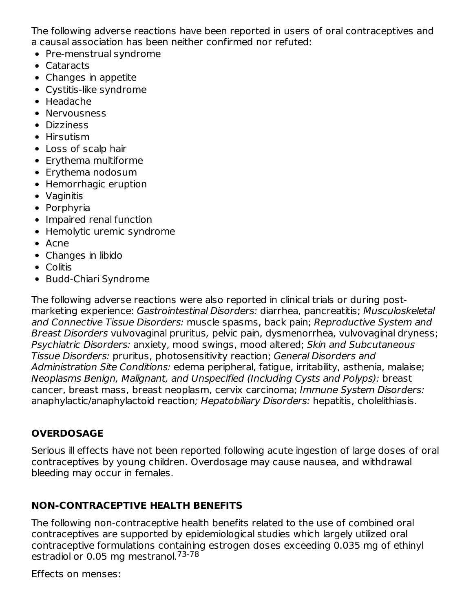The following adverse reactions have been reported in users of oral contraceptives and a causal association has been neither confirmed nor refuted:

- Pre-menstrual syndrome
- Cataracts
- Changes in appetite
- Cystitis-like syndrome
- Headache
- Nervousness
- Dizziness
- Hirsutism
- Loss of scalp hair
- Erythema multiforme
- Erythema nodosum
- Hemorrhagic eruption
- Vaginitis
- Porphyria
- Impaired renal function
- Hemolytic uremic syndrome
- Acne
- Changes in libido
- Colitis
- Budd-Chiari Syndrome

The following adverse reactions were also reported in clinical trials or during postmarketing experience: Gastrointestinal Disorders: diarrhea, pancreatitis; Musculoskeletal and Connective Tissue Disorders: muscle spasms, back pain; Reproductive System and Breast Disorders vulvovaginal pruritus, pelvic pain, dysmenorrhea, vulvovaginal dryness; Psychiatric Disorders: anxiety, mood swings, mood altered; Skin and Subcutaneous Tissue Disorders: pruritus, photosensitivity reaction; General Disorders and Administration Site Conditions: edema peripheral, fatigue, irritability, asthenia, malaise; Neoplasms Benign, Malignant, and Unspecified (Including Cysts and Polyps): breast cancer, breast mass, breast neoplasm, cervix carcinoma; Immune System Disorders: anaphylactic/anaphylactoid reaction; Hepatobiliary Disorders: hepatitis, cholelithiasis.

# **OVERDOSAGE**

Serious ill effects have not been reported following acute ingestion of large doses of oral contraceptives by young children. Overdosage may cause nausea, and withdrawal bleeding may occur in females.

# **NON-CONTRACEPTIVE HEALTH BENEFITS**

The following non-contraceptive health benefits related to the use of combined oral contraceptives are supported by epidemiological studies which largely utilized oral contraceptive formulations containing estrogen doses exceeding 0.035 mg of ethinyl estradiol or 0.05 mg mestranol.<sup>73-78</sup>

Effects on menses: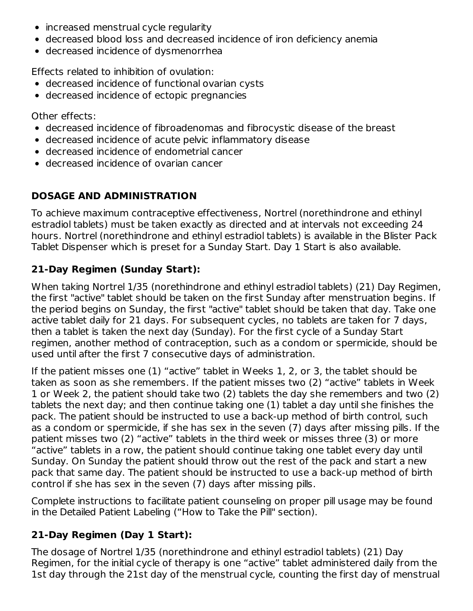- increased menstrual cycle regularity
- decreased blood loss and decreased incidence of iron deficiency anemia
- decreased incidence of dysmenorrhea

Effects related to inhibition of ovulation:

- decreased incidence of functional ovarian cysts
- decreased incidence of ectopic pregnancies

Other effects:

- decreased incidence of fibroadenomas and fibrocystic disease of the breast
- decreased incidence of acute pelvic inflammatory disease
- decreased incidence of endometrial cancer
- decreased incidence of ovarian cancer

# **DOSAGE AND ADMINISTRATION**

To achieve maximum contraceptive effectiveness, Nortrel (norethindrone and ethinyl estradiol tablets) must be taken exactly as directed and at intervals not exceeding 24 hours. Nortrel (norethindrone and ethinyl estradiol tablets) is available in the Blister Pack Tablet Dispenser which is preset for a Sunday Start. Day 1 Start is also available.

# **21-Day Regimen (Sunday Start):**

When taking Nortrel 1/35 (norethindrone and ethinyl estradiol tablets) (21) Day Regimen, the first "active" tablet should be taken on the first Sunday after menstruation begins. If the period begins on Sunday, the first "active" tablet should be taken that day. Take one active tablet daily for 21 days. For subsequent cycles, no tablets are taken for 7 days, then a tablet is taken the next day (Sunday). For the first cycle of a Sunday Start regimen, another method of contraception, such as a condom or spermicide, should be used until after the first 7 consecutive days of administration.

If the patient misses one (1) "active" tablet in Weeks 1, 2, or 3, the tablet should be taken as soon as she remembers. If the patient misses two (2) "active" tablets in Week 1 or Week 2, the patient should take two (2) tablets the day she remembers and two (2) tablets the next day; and then continue taking one (1) tablet a day until she finishes the pack. The patient should be instructed to use a back-up method of birth control, such as a condom or spermicide, if she has sex in the seven (7) days after missing pills. If the patient misses two (2) "active" tablets in the third week or misses three (3) or more "active" tablets in a row, the patient should continue taking one tablet every day until Sunday. On Sunday the patient should throw out the rest of the pack and start a new pack that same day. The patient should be instructed to use a back-up method of birth control if she has sex in the seven (7) days after missing pills.

Complete instructions to facilitate patient counseling on proper pill usage may be found in the Detailed Patient Labeling ("How to Take the Pill" section).

# **21-Day Regimen (Day 1 Start):**

The dosage of Nortrel 1/35 (norethindrone and ethinyl estradiol tablets) (21) Day Regimen, for the initial cycle of therapy is one "active" tablet administered daily from the 1st day through the 21st day of the menstrual cycle, counting the first day of menstrual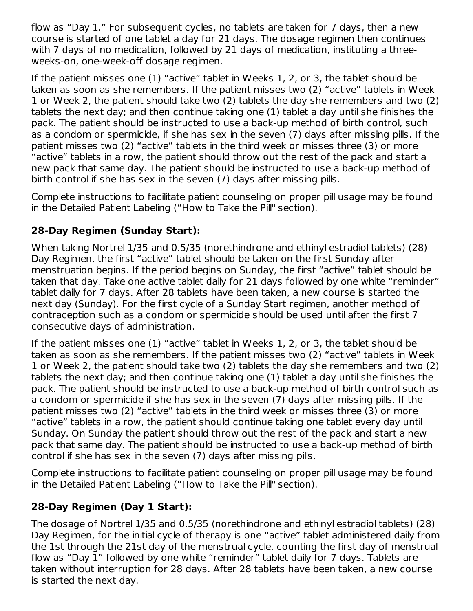flow as "Day 1." For subsequent cycles, no tablets are taken for 7 days, then a new course is started of one tablet a day for 21 days. The dosage regimen then continues with 7 days of no medication, followed by 21 days of medication, instituting a threeweeks-on, one-week-off dosage regimen.

If the patient misses one (1) "active" tablet in Weeks 1, 2, or 3, the tablet should be taken as soon as she remembers. If the patient misses two (2) "active" tablets in Week 1 or Week 2, the patient should take two (2) tablets the day she remembers and two (2) tablets the next day; and then continue taking one (1) tablet a day until she finishes the pack. The patient should be instructed to use a back-up method of birth control, such as a condom or spermicide, if she has sex in the seven (7) days after missing pills. If the patient misses two (2) "active" tablets in the third week or misses three (3) or more "active" tablets in a row, the patient should throw out the rest of the pack and start a new pack that same day. The patient should be instructed to use a back-up method of birth control if she has sex in the seven (7) days after missing pills.

Complete instructions to facilitate patient counseling on proper pill usage may be found in the Detailed Patient Labeling ("How to Take the Pill" section).

# **28-Day Regimen (Sunday Start):**

When taking Nortrel 1/35 and 0.5/35 (norethindrone and ethinyl estradiol tablets) (28) Day Regimen, the first "active" tablet should be taken on the first Sunday after menstruation begins. If the period begins on Sunday, the first "active" tablet should be taken that day. Take one active tablet daily for 21 days followed by one white "reminder" tablet daily for 7 days. After 28 tablets have been taken, a new course is started the next day (Sunday). For the first cycle of a Sunday Start regimen, another method of contraception such as a condom or spermicide should be used until after the first 7 consecutive days of administration.

If the patient misses one (1) "active" tablet in Weeks 1, 2, or 3, the tablet should be taken as soon as she remembers. If the patient misses two (2) "active" tablets in Week 1 or Week 2, the patient should take two (2) tablets the day she remembers and two (2) tablets the next day; and then continue taking one (1) tablet a day until she finishes the pack. The patient should be instructed to use a back-up method of birth control such as a condom or spermicide if she has sex in the seven (7) days after missing pills. If the patient misses two (2) "active" tablets in the third week or misses three (3) or more "active" tablets in a row, the patient should continue taking one tablet every day until Sunday. On Sunday the patient should throw out the rest of the pack and start a new pack that same day. The patient should be instructed to use a back-up method of birth control if she has sex in the seven (7) days after missing pills.

Complete instructions to facilitate patient counseling on proper pill usage may be found in the Detailed Patient Labeling ("How to Take the Pill" section).

# **28-Day Regimen (Day 1 Start):**

The dosage of Nortrel 1/35 and 0.5/35 (norethindrone and ethinyl estradiol tablets) (28) Day Regimen, for the initial cycle of therapy is one "active" tablet administered daily from the 1st through the 21st day of the menstrual cycle, counting the first day of menstrual flow as "Day 1" followed by one white "reminder" tablet daily for 7 days. Tablets are taken without interruption for 28 days. After 28 tablets have been taken, a new course is started the next day.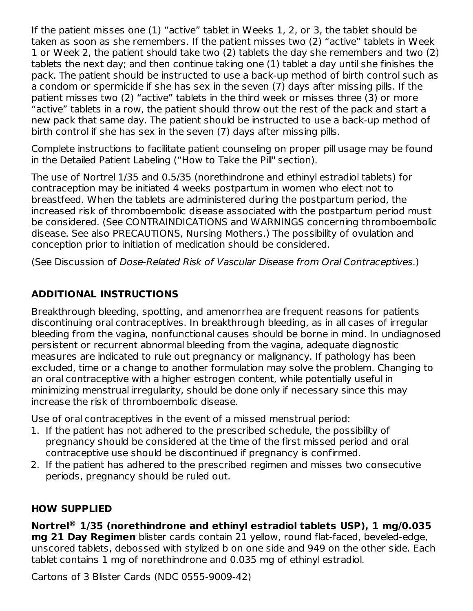If the patient misses one (1) "active" tablet in Weeks 1, 2, or 3, the tablet should be taken as soon as she remembers. If the patient misses two (2) "active" tablets in Week 1 or Week 2, the patient should take two (2) tablets the day she remembers and two (2) tablets the next day; and then continue taking one (1) tablet a day until she finishes the pack. The patient should be instructed to use a back-up method of birth control such as a condom or spermicide if she has sex in the seven (7) days after missing pills. If the patient misses two (2) "active" tablets in the third week or misses three (3) or more "active" tablets in a row, the patient should throw out the rest of the pack and start a new pack that same day. The patient should be instructed to use a back-up method of birth control if she has sex in the seven (7) days after missing pills.

Complete instructions to facilitate patient counseling on proper pill usage may be found in the Detailed Patient Labeling ("How to Take the Pill" section).

The use of Nortrel 1/35 and 0.5/35 (norethindrone and ethinyl estradiol tablets) for contraception may be initiated 4 weeks postpartum in women who elect not to breastfeed. When the tablets are administered during the postpartum period, the increased risk of thromboembolic disease associated with the postpartum period must be considered. (See CONTRAINDICATIONS and WARNINGS concerning thromboembolic disease. See also PRECAUTIONS, Nursing Mothers.) The possibility of ovulation and conception prior to initiation of medication should be considered.

(See Discussion of Dose-Related Risk of Vascular Disease from Oral Contraceptives.)

# **ADDITIONAL INSTRUCTIONS**

Breakthrough bleeding, spotting, and amenorrhea are frequent reasons for patients discontinuing oral contraceptives. In breakthrough bleeding, as in all cases of irregular bleeding from the vagina, nonfunctional causes should be borne in mind. In undiagnosed persistent or recurrent abnormal bleeding from the vagina, adequate diagnostic measures are indicated to rule out pregnancy or malignancy. If pathology has been excluded, time or a change to another formulation may solve the problem. Changing to an oral contraceptive with a higher estrogen content, while potentially useful in minimizing menstrual irregularity, should be done only if necessary since this may increase the risk of thromboembolic disease.

Use of oral contraceptives in the event of a missed menstrual period:

- 1. If the patient has not adhered to the prescribed schedule, the possibility of pregnancy should be considered at the time of the first missed period and oral contraceptive use should be discontinued if pregnancy is confirmed.
- 2. If the patient has adhered to the prescribed regimen and misses two consecutive periods, pregnancy should be ruled out.

# **HOW SUPPLIED**

**Nortrel 1/35 (norethindrone and ethinyl estradiol tablets USP), 1 mg/0.035 ® mg 21 Day Regimen** blister cards contain 21 yellow, round flat-faced, beveled-edge, unscored tablets, debossed with stylized b on one side and 949 on the other side. Each tablet contains 1 mg of norethindrone and 0.035 mg of ethinyl estradiol.

Cartons of 3 Blister Cards (NDC 0555-9009-42)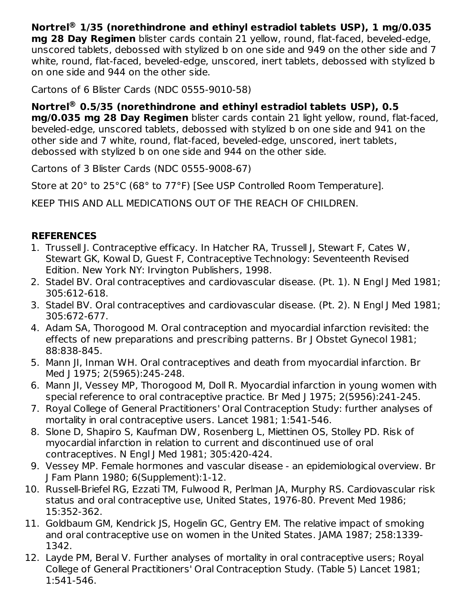**Nortrel 1/35 (norethindrone and ethinyl estradiol tablets USP), 1 mg/0.035 ® mg 28 Day Regimen** blister cards contain 21 yellow, round, flat-faced, beveled-edge, unscored tablets, debossed with stylized b on one side and 949 on the other side and 7 white, round, flat-faced, beveled-edge, unscored, inert tablets, debossed with stylized b on one side and 944 on the other side.

Cartons of 6 Blister Cards (NDC 0555-9010-58)

**Nortrel 0.5/35 (norethindrone and ethinyl estradiol tablets USP), 0.5 ®mg/0.035 mg 28 Day Regimen** blister cards contain 21 light yellow, round, flat-faced, beveled-edge, unscored tablets, debossed with stylized b on one side and 941 on the other side and 7 white, round, flat-faced, beveled-edge, unscored, inert tablets, debossed with stylized b on one side and 944 on the other side.

Cartons of 3 Blister Cards (NDC 0555-9008-67)

Store at 20° to 25°C (68° to 77°F) [See USP Controlled Room Temperature].

KEEP THIS AND ALL MEDICATIONS OUT OF THE REACH OF CHILDREN.

# **REFERENCES**

- 1. Trussell J. Contraceptive efficacy. In Hatcher RA, Trussell J, Stewart F, Cates W, Stewart GK, Kowal D, Guest F, Contraceptive Technology: Seventeenth Revised Edition. New York NY: Irvington Publishers, 1998.
- 2. Stadel BV. Oral contraceptives and cardiovascular disease. (Pt. 1). N Engl J Med 1981; 305:612-618.
- 3. Stadel BV. Oral contraceptives and cardiovascular disease. (Pt. 2). N Engl J Med 1981; 305:672-677.
- 4. Adam SA, Thorogood M. Oral contraception and myocardial infarction revisited: the effects of new preparations and prescribing patterns. Br J Obstet Gynecol 1981; 88:838-845.
- 5. Mann JI, Inman WH. Oral contraceptives and death from myocardial infarction. Br Med | 1975; 2(5965): 245-248.
- 6. Mann JI, Vessey MP, Thorogood M, Doll R. Myocardial infarction in young women with special reference to oral contraceptive practice. Br Med J 1975; 2(5956):241-245.
- 7. Royal College of General Practitioners' Oral Contraception Study: further analyses of mortality in oral contraceptive users. Lancet 1981; 1:541-546.
- 8. Slone D, Shapiro S, Kaufman DW, Rosenberg L, Miettinen OS, Stolley PD. Risk of myocardial infarction in relation to current and discontinued use of oral contraceptives. N Engl J Med 1981; 305:420-424.
- 9. Vessey MP. Female hormones and vascular disease an epidemiological overview. Br J Fam Plann 1980; 6(Supplement):1-12.
- 10. Russell-Briefel RG, Ezzati TM, Fulwood R, Perlman JA, Murphy RS. Cardiovascular risk status and oral contraceptive use, United States, 1976-80. Prevent Med 1986; 15:352-362.
- 11. Goldbaum GM, Kendrick JS, Hogelin GC, Gentry EM. The relative impact of smoking and oral contraceptive use on women in the United States. JAMA 1987; 258:1339- 1342.
- 12. Layde PM, Beral V. Further analyses of mortality in oral contraceptive users; Royal College of General Practitioners' Oral Contraception Study. (Table 5) Lancet 1981; 1:541-546.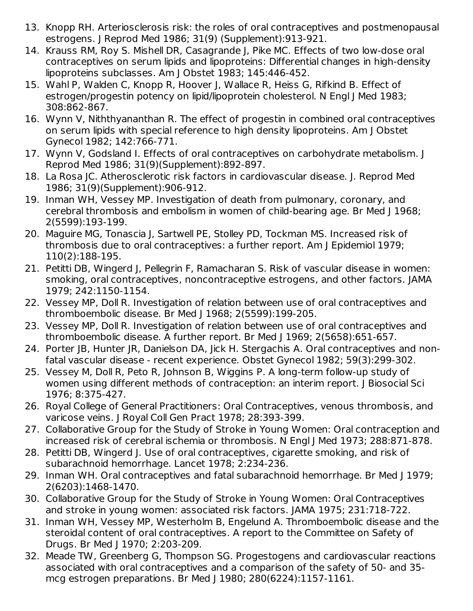- 13. Knopp RH. Arteriosclerosis risk: the roles of oral contraceptives and postmenopausal estrogens. J Reprod Med 1986; 31(9) (Supplement):913-921.
- 14. Krauss RM, Roy S. Mishell DR, Casagrande J, Pike MC. Effects of two low-dose oral contraceptives on serum lipids and lipoproteins: Differential changes in high-density lipoproteins subclasses. Am J Obstet 1983; 145:446-452.
- 15. Wahl P, Walden C, Knopp R, Hoover J, Wallace R, Heiss G, Rifkind B. Effect of estrogen/progestin potency on lipid/lipoprotein cholesterol. N Engl J Med 1983; 308:862-867.
- 16. Wynn V, Niththyananthan R. The effect of progestin in combined oral contraceptives on serum lipids with special reference to high density lipoproteins. Am J Obstet Gynecol 1982; 142:766-771.
- 17. Wynn V, Godsland I. Effects of oral contraceptives on carbohydrate metabolism. J Reprod Med 1986; 31(9)(Supplement):892-897.
- 18. La Rosa JC. Atherosclerotic risk factors in cardiovascular disease. J. Reprod Med 1986; 31(9)(Supplement):906-912.
- 19. Inman WH, Vessey MP. Investigation of death from pulmonary, coronary, and cerebral thrombosis and embolism in women of child-bearing age. Br Med J 1968; 2(5599):193-199.
- 20. Maguire MG, Tonascia J, Sartwell PE, Stolley PD, Tockman MS. Increased risk of thrombosis due to oral contraceptives: a further report. Am J Epidemiol 1979; 110(2):188-195.
- 21. Petitti DB, Wingerd J, Pellegrin F, Ramacharan S. Risk of vascular disease in women: smoking, oral contraceptives, noncontraceptive estrogens, and other factors. JAMA 1979; 242:1150-1154.
- 22. Vessey MP, Doll R. Investigation of relation between use of oral contraceptives and thromboembolic disease. Br Med J 1968; 2(5599):199-205.
- 23. Vessey MP, Doll R. Investigation of relation between use of oral contraceptives and thromboembolic disease. A further report. Br Med J 1969; 2(5658):651-657.
- 24. Porter JB, Hunter JR, Danielson DA, Jick H. Stergachis A. Oral contraceptives and nonfatal vascular disease - recent experience. Obstet Gynecol 1982; 59(3):299-302.
- 25. Vessey M, Doll R, Peto R, Johnson B, Wiggins P. A long-term follow-up study of women using different methods of contraception: an interim report. J Biosocial Sci 1976; 8:375-427.
- 26. Royal College of General Practitioners: Oral Contraceptives, venous thrombosis, and varicose veins. J Royal Coll Gen Pract 1978; 28:393-399.
- 27. Collaborative Group for the Study of Stroke in Young Women: Oral contraception and increased risk of cerebral ischemia or thrombosis. N Engl J Med 1973; 288:871-878.
- 28. Petitti DB, Wingerd J. Use of oral contraceptives, cigarette smoking, and risk of subarachnoid hemorrhage. Lancet 1978; 2:234-236.
- 29. Inman WH. Oral contraceptives and fatal subarachnoid hemorrhage. Br Med J 1979; 2(6203):1468-1470.
- 30. Collaborative Group for the Study of Stroke in Young Women: Oral Contraceptives and stroke in young women: associated risk factors. JAMA 1975; 231:718-722.
- 31. Inman WH, Vessey MP, Westerholm B, Engelund A. Thromboembolic disease and the steroidal content of oral contraceptives. A report to the Committee on Safety of Drugs. Br Med J 1970; 2:203-209.
- 32. Meade TW, Greenberg G, Thompson SG. Progestogens and cardiovascular reactions associated with oral contraceptives and a comparison of the safety of 50- and 35 mcg estrogen preparations. Br Med J 1980; 280(6224):1157-1161.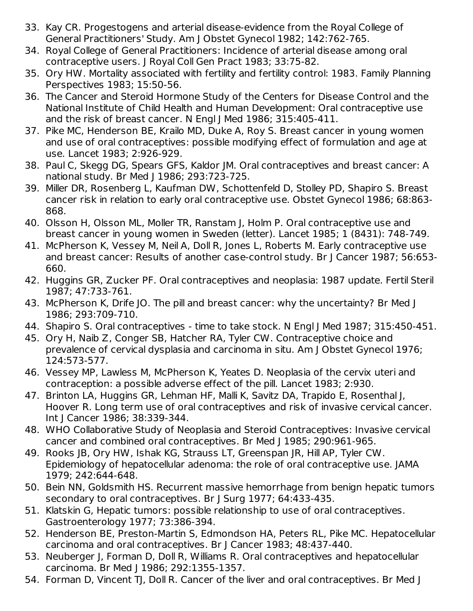- 33. Kay CR. Progestogens and arterial disease-evidence from the Royal College of General Practitioners' Study. Am J Obstet Gynecol 1982; 142:762-765.
- 34. Royal College of General Practitioners: Incidence of arterial disease among oral contraceptive users. J Royal Coll Gen Pract 1983; 33:75-82.
- 35. Ory HW. Mortality associated with fertility and fertility control: 1983. Family Planning Perspectives 1983; 15:50-56.
- 36. The Cancer and Steroid Hormone Study of the Centers for Disease Control and the National Institute of Child Health and Human Development: Oral contraceptive use and the risk of breast cancer. N Engl J Med 1986; 315:405-411.
- 37. Pike MC, Henderson BE, Krailo MD, Duke A, Roy S. Breast cancer in young women and use of oral contraceptives: possible modifying effect of formulation and age at use. Lancet 1983; 2:926-929.
- 38. Paul C, Skegg DG, Spears GFS, Kaldor JM. Oral contraceptives and breast cancer: A national study. Br Med J 1986; 293:723-725.
- 39. Miller DR, Rosenberg L, Kaufman DW, Schottenfeld D, Stolley PD, Shapiro S. Breast cancer risk in relation to early oral contraceptive use. Obstet Gynecol 1986; 68:863- 868.
- 40. Olsson H, Olsson ML, Moller TR, Ranstam J, Holm P. Oral contraceptive use and breast cancer in young women in Sweden (letter). Lancet 1985; 1 (8431): 748-749.
- 41. McPherson K, Vessey M, Neil A, Doll R, Jones L, Roberts M. Early contraceptive use and breast cancer: Results of another case-control study. Br J Cancer 1987; 56:653- 660.
- 42. Huggins GR, Zucker PF. Oral contraceptives and neoplasia: 1987 update. Fertil Steril 1987; 47:733-761.
- 43. McPherson K, Drife JO. The pill and breast cancer: why the uncertainty? Br Med J 1986; 293:709-710.
- 44. Shapiro S. Oral contraceptives time to take stock. N Engl J Med 1987; 315:450-451.
- 45. Ory H, Naib Z, Conger SB, Hatcher RA, Tyler CW. Contraceptive choice and prevalence of cervical dysplasia and carcinoma in situ. Am J Obstet Gynecol 1976; 124:573-577.
- 46. Vessey MP, Lawless M, McPherson K, Yeates D. Neoplasia of the cervix uteri and contraception: a possible adverse effect of the pill. Lancet 1983; 2:930.
- 47. Brinton LA, Huggins GR, Lehman HF, Malli K, Savitz DA, Trapido E, Rosenthal J, Hoover R. Long term use of oral contraceptives and risk of invasive cervical cancer. Int J Cancer 1986; 38:339-344.
- 48. WHO Collaborative Study of Neoplasia and Steroid Contraceptives: Invasive cervical cancer and combined oral contraceptives. Br Med J 1985; 290:961-965.
- 49. Rooks JB, Ory HW, Ishak KG, Strauss LT, Greenspan JR, Hill AP, Tyler CW. Epidemiology of hepatocellular adenoma: the role of oral contraceptive use. JAMA 1979; 242:644-648.
- 50. Bein NN, Goldsmith HS. Recurrent massive hemorrhage from benign hepatic tumors secondary to oral contraceptives. Br J Surg 1977; 64:433-435.
- 51. Klatskin G, Hepatic tumors: possible relationship to use of oral contraceptives. Gastroenterology 1977; 73:386-394.
- 52. Henderson BE, Preston-Martin S, Edmondson HA, Peters RL, Pike MC. Hepatocellular carcinoma and oral contraceptives. Br J Cancer 1983; 48:437-440.
- 53. Neuberger J, Forman D, Doll R, Williams R. Oral contraceptives and hepatocellular carcinoma. Br Med J 1986; 292:1355-1357.
- 54. Forman D, Vincent TJ, Doll R. Cancer of the liver and oral contraceptives. Br Med J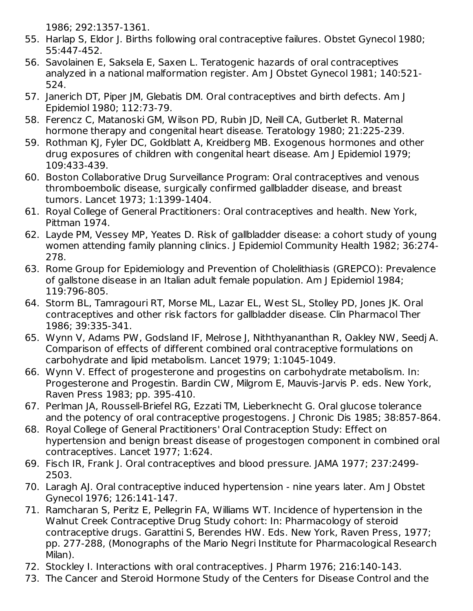1986; 292:1357-1361.

- 55. Harlap S, Eldor J. Births following oral contraceptive failures. Obstet Gynecol 1980; 55:447-452.
- 56. Savolainen E, Saksela E, Saxen L. Teratogenic hazards of oral contraceptives analyzed in a national malformation register. Am J Obstet Gynecol 1981; 140:521- 524.
- 57. Janerich DT, Piper JM, Glebatis DM. Oral contraceptives and birth defects. Am J Epidemiol 1980; 112:73-79.
- 58. Ferencz C, Matanoski GM, Wilson PD, Rubin JD, Neill CA, Gutberlet R. Maternal hormone therapy and congenital heart disease. Teratology 1980; 21:225-239.
- 59. Rothman KJ, Fyler DC, Goldblatt A, Kreidberg MB. Exogenous hormones and other drug exposures of children with congenital heart disease. Am J Epidemiol 1979; 109:433-439.
- 60. Boston Collaborative Drug Surveillance Program: Oral contraceptives and venous thromboembolic disease, surgically confirmed gallbladder disease, and breast tumors. Lancet 1973; 1:1399-1404.
- 61. Royal College of General Practitioners: Oral contraceptives and health. New York, Pittman 1974.
- 62. Layde PM, Vessey MP, Yeates D. Risk of gallbladder disease: a cohort study of young women attending family planning clinics. J Epidemiol Community Health 1982; 36:274- 278.
- 63. Rome Group for Epidemiology and Prevention of Cholelithiasis (GREPCO): Prevalence of gallstone disease in an Italian adult female population. Am J Epidemiol 1984; 119:796-805.
- 64. Storm BL, Tamragouri RT, Morse ML, Lazar EL, West SL, Stolley PD, Jones JK. Oral contraceptives and other risk factors for gallbladder disease. Clin Pharmacol Ther 1986; 39:335-341.
- 65. Wynn V, Adams PW, Godsland IF, Melrose J, Niththyananthan R, Oakley NW, Seedj A. Comparison of effects of different combined oral contraceptive formulations on carbohydrate and lipid metabolism. Lancet 1979; 1:1045-1049.
- 66. Wynn V. Effect of progesterone and progestins on carbohydrate metabolism. In: Progesterone and Progestin. Bardin CW, Milgrom E, Mauvis-Jarvis P. eds. New York, Raven Press 1983; pp. 395-410.
- 67. Perlman JA, Roussell-Briefel RG, Ezzati TM, Lieberknecht G. Oral glucose tolerance and the potency of oral contraceptive progestogens. J Chronic Dis 1985; 38:857-864.
- 68. Royal College of General Practitioners' Oral Contraception Study: Effect on hypertension and benign breast disease of progestogen component in combined oral contraceptives. Lancet 1977; 1:624.
- 69. Fisch IR, Frank J. Oral contraceptives and blood pressure. JAMA 1977; 237:2499- 2503.
- 70. Laragh AJ. Oral contraceptive induced hypertension nine years later. Am J Obstet Gynecol 1976; 126:141-147.
- 71. Ramcharan S, Peritz E, Pellegrin FA, Williams WT. Incidence of hypertension in the Walnut Creek Contraceptive Drug Study cohort: In: Pharmacology of steroid contraceptive drugs. Garattini S, Berendes HW. Eds. New York, Raven Press, 1977; pp. 277-288, (Monographs of the Mario Negri Institute for Pharmacological Research Milan).
- 72. Stockley I. Interactions with oral contraceptives. J Pharm 1976; 216:140-143.
- 73. The Cancer and Steroid Hormone Study of the Centers for Disease Control and the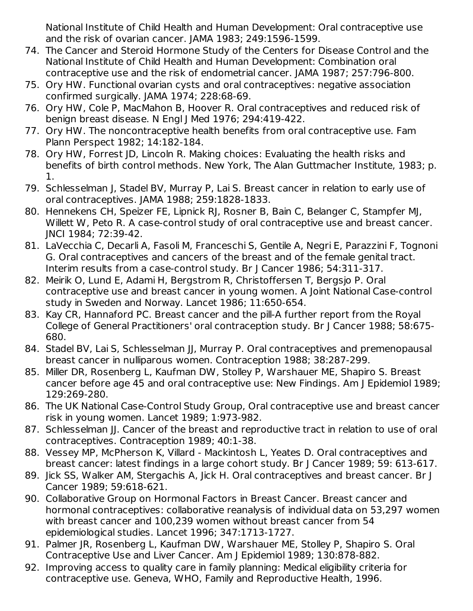National Institute of Child Health and Human Development: Oral contraceptive use and the risk of ovarian cancer. JAMA 1983; 249:1596-1599.

- 74. The Cancer and Steroid Hormone Study of the Centers for Disease Control and the National Institute of Child Health and Human Development: Combination oral contraceptive use and the risk of endometrial cancer. JAMA 1987; 257:796-800.
- 75. Ory HW. Functional ovarian cysts and oral contraceptives: negative association confirmed surgically. JAMA 1974; 228:68-69.
- 76. Ory HW, Cole P, MacMahon B, Hoover R. Oral contraceptives and reduced risk of benign breast disease. N Engl J Med 1976; 294:419-422.
- 77. Ory HW. The noncontraceptive health benefits from oral contraceptive use. Fam Plann Perspect 1982; 14:182-184.
- 78. Ory HW, Forrest JD, Lincoln R. Making choices: Evaluating the health risks and benefits of birth control methods. New York, The Alan Guttmacher Institute, 1983; p. 1.
- 79. Schlesselman J, Stadel BV, Murray P, Lai S. Breast cancer in relation to early use of oral contraceptives. JAMA 1988; 259:1828-1833.
- 80. Hennekens CH, Speizer FE, Lipnick RJ, Rosner B, Bain C, Belanger C, Stampfer MJ, Willett W, Peto R. A case-control study of oral contraceptive use and breast cancer. JNCI 1984; 72:39-42.
- 81. LaVecchia C, Decarli A, Fasoli M, Franceschi S, Gentile A, Negri E, Parazzini F, Tognoni G. Oral contraceptives and cancers of the breast and of the female genital tract. Interim results from a case-control study. Br J Cancer 1986; 54:311-317.
- 82. Meirik O, Lund E, Adami H, Bergstrom R, Christoffersen T, Bergsjo P. Oral contraceptive use and breast cancer in young women. A Joint National Case-control study in Sweden and Norway. Lancet 1986; 11:650-654.
- 83. Kay CR, Hannaford PC. Breast cancer and the pill-A further report from the Royal College of General Practitioners' oral contraception study. Br J Cancer 1988; 58:675- 680.
- 84. Stadel BV, Lai S, Schlesselman JJ, Murray P. Oral contraceptives and premenopausal breast cancer in nulliparous women. Contraception 1988; 38:287-299.
- 85. Miller DR, Rosenberg L, Kaufman DW, Stolley P, Warshauer ME, Shapiro S. Breast cancer before age 45 and oral contraceptive use: New Findings. Am J Epidemiol 1989; 129:269-280.
- 86. The UK National Case-Control Study Group, Oral contraceptive use and breast cancer risk in young women. Lancet 1989; 1:973-982.
- 87. Schlesselman JJ. Cancer of the breast and reproductive tract in relation to use of oral contraceptives. Contraception 1989; 40:1-38.
- 88. Vessey MP, McPherson K, Villard Mackintosh L, Yeates D. Oral contraceptives and breast cancer: latest findings in a large cohort study. Br J Cancer 1989; 59: 613-617.
- 89. Jick SS, Walker AM, Stergachis A, Jick H. Oral contraceptives and breast cancer. Br J Cancer 1989; 59:618-621.
- 90. Collaborative Group on Hormonal Factors in Breast Cancer. Breast cancer and hormonal contraceptives: collaborative reanalysis of individual data on 53,297 women with breast cancer and 100,239 women without breast cancer from 54 epidemiological studies. Lancet 1996; 347:1713-1727.
- 91. Palmer JR, Rosenberg L, Kaufman DW, Warshauer ME, Stolley P, Shapiro S. Oral Contraceptive Use and Liver Cancer. Am J Epidemiol 1989; 130:878-882.
- 92. Improving access to quality care in family planning: Medical eligibility criteria for contraceptive use. Geneva, WHO, Family and Reproductive Health, 1996.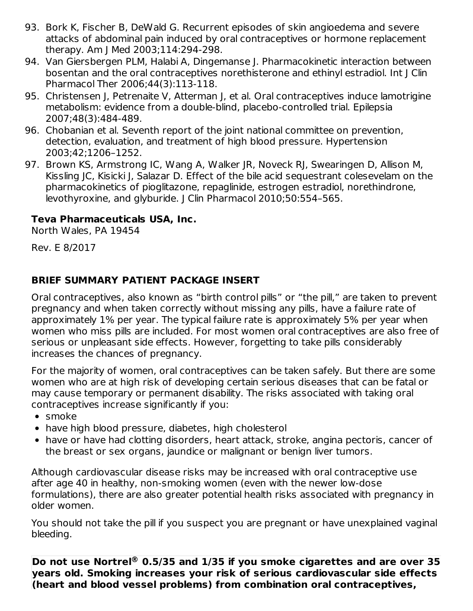- 93. Bork K, Fischer B, DeWald G. Recurrent episodes of skin angioedema and severe attacks of abdominal pain induced by oral contraceptives or hormone replacement therapy. Am J Med 2003;114:294-298.
- 94. Van Giersbergen PLM, Halabi A, Dingemanse J. Pharmacokinetic interaction between bosentan and the oral contraceptives norethisterone and ethinyl estradiol. Int J Clin Pharmacol Ther 2006;44(3):113-118.
- 95. Christensen J, Petrenaite V, Atterman J, et al. Oral contraceptives induce lamotrigine metabolism: evidence from a double-blind, placebo-controlled trial. Epilepsia 2007;48(3):484-489.
- 96. Chobanian et al. Seventh report of the joint national committee on prevention, detection, evaluation, and treatment of high blood pressure. Hypertension 2003;42;1206–1252.
- 97. Brown KS, Armstrong IC, Wang A, Walker JR, Noveck RJ, Swearingen D, Allison M, Kissling JC, Kisicki J, Salazar D. Effect of the bile acid sequestrant colesevelam on the pharmacokinetics of pioglitazone, repaglinide, estrogen estradiol, norethindrone, levothyroxine, and glyburide. J Clin Pharmacol 2010;50:554–565.

### **Teva Pharmaceuticals USA, Inc.**

North Wales, PA 19454

Rev. E 8/2017

# **BRIEF SUMMARY PATIENT PACKAGE INSERT**

Oral contraceptives, also known as "birth control pills" or "the pill," are taken to prevent pregnancy and when taken correctly without missing any pills, have a failure rate of approximately 1% per year. The typical failure rate is approximately 5% per year when women who miss pills are included. For most women oral contraceptives are also free of serious or unpleasant side effects. However, forgetting to take pills considerably increases the chances of pregnancy.

For the majority of women, oral contraceptives can be taken safely. But there are some women who are at high risk of developing certain serious diseases that can be fatal or may cause temporary or permanent disability. The risks associated with taking oral contraceptives increase significantly if you:

- smoke
- have high blood pressure, diabetes, high cholesterol
- have or have had clotting disorders, heart attack, stroke, angina pectoris, cancer of the breast or sex organs, jaundice or malignant or benign liver tumors.

Although cardiovascular disease risks may be increased with oral contraceptive use after age 40 in healthy, non-smoking women (even with the newer low-dose formulations), there are also greater potential health risks associated with pregnancy in older women.

You should not take the pill if you suspect you are pregnant or have unexplained vaginal bleeding.

**Do not use Nortrel 0.5/35 and 1/35 if you smoke cigarettes and are over 35 ®years old. Smoking increases your risk of serious cardiovascular side effects (heart and blood vessel problems) from combination oral contraceptives,**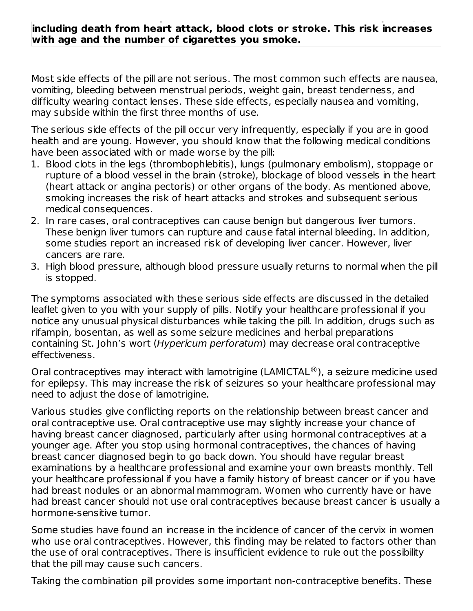#### **(heart and blood vessel problems) from combination oral contraceptives, including death from heart attack, blood clots or stroke. This risk increases with age and the number of cigarettes you smoke.**

Most side effects of the pill are not serious. The most common such effects are nausea, vomiting, bleeding between menstrual periods, weight gain, breast tenderness, and difficulty wearing contact lenses. These side effects, especially nausea and vomiting, may subside within the first three months of use.

The serious side effects of the pill occur very infrequently, especially if you are in good health and are young. However, you should know that the following medical conditions have been associated with or made worse by the pill:

- 1. Blood clots in the legs (thrombophlebitis), lungs (pulmonary embolism), stoppage or rupture of a blood vessel in the brain (stroke), blockage of blood vessels in the heart (heart attack or angina pectoris) or other organs of the body. As mentioned above, smoking increases the risk of heart attacks and strokes and subsequent serious medical consequences.
- 2. In rare cases, oral contraceptives can cause benign but dangerous liver tumors. These benign liver tumors can rupture and cause fatal internal bleeding. In addition, some studies report an increased risk of developing liver cancer. However, liver cancers are rare.
- 3. High blood pressure, although blood pressure usually returns to normal when the pill is stopped.

The symptoms associated with these serious side effects are discussed in the detailed leaflet given to you with your supply of pills. Notify your healthcare professional if you notice any unusual physical disturbances while taking the pill. In addition, drugs such as rifampin, bosentan, as well as some seizure medicines and herbal preparations containing St. John's wort (Hypericum perforatum) may decrease oral contraceptive effectiveness.

Oral contraceptives may interact with lamotrigine (LAMICTAL®), a seizure medicine used for epilepsy. This may increase the risk of seizures so your healthcare professional may need to adjust the dose of lamotrigine.

Various studies give conflicting reports on the relationship between breast cancer and oral contraceptive use. Oral contraceptive use may slightly increase your chance of having breast cancer diagnosed, particularly after using hormonal contraceptives at a younger age. After you stop using hormonal contraceptives, the chances of having breast cancer diagnosed begin to go back down. You should have regular breast examinations by a healthcare professional and examine your own breasts monthly. Tell your healthcare professional if you have a family history of breast cancer or if you have had breast nodules or an abnormal mammogram. Women who currently have or have had breast cancer should not use oral contraceptives because breast cancer is usually a hormone-sensitive tumor.

Some studies have found an increase in the incidence of cancer of the cervix in women who use oral contraceptives. However, this finding may be related to factors other than the use of oral contraceptives. There is insufficient evidence to rule out the possibility that the pill may cause such cancers.

Taking the combination pill provides some important non-contraceptive benefits. These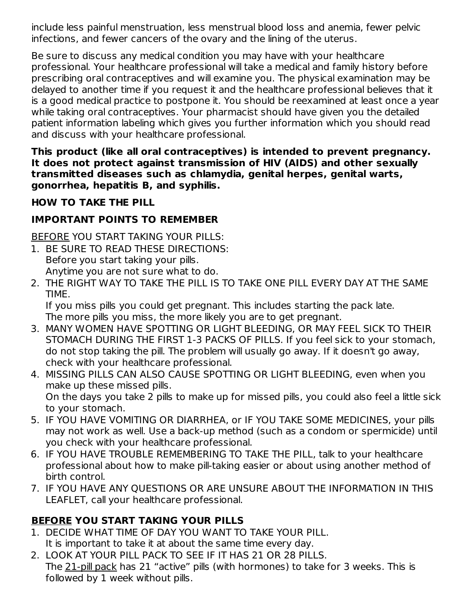include less painful menstruation, less menstrual blood loss and anemia, fewer pelvic infections, and fewer cancers of the ovary and the lining of the uterus.

Be sure to discuss any medical condition you may have with your healthcare professional. Your healthcare professional will take a medical and family history before prescribing oral contraceptives and will examine you. The physical examination may be delayed to another time if you request it and the healthcare professional believes that it is a good medical practice to postpone it. You should be reexamined at least once a year while taking oral contraceptives. Your pharmacist should have given you the detailed patient information labeling which gives you further information which you should read and discuss with your healthcare professional.

**This product (like all oral contraceptives) is intended to prevent pregnancy. It does not protect against transmission of HIV (AIDS) and other sexually transmitted diseases such as chlamydia, genital herpes, genital warts, gonorrhea, hepatitis B, and syphilis.**

### **HOW TO TAKE THE PILL**

# **IMPORTANT POINTS TO REMEMBER**

BEFORE YOU START TAKING YOUR PILLS:

- 1. BE SURE TO READ THESE DIRECTIONS: Before you start taking your pills. Anytime you are not sure what to do.
- 2. THE RIGHT WAY TO TAKE THE PILL IS TO TAKE ONE PILL EVERY DAY AT THE SAME TIME.

If you miss pills you could get pregnant. This includes starting the pack late. The more pills you miss, the more likely you are to get pregnant.

- 3. MANY WOMEN HAVE SPOTTING OR LIGHT BLEEDING, OR MAY FEEL SICK TO THEIR STOMACH DURING THE FIRST 1-3 PACKS OF PILLS. If you feel sick to your stomach, do not stop taking the pill. The problem will usually go away. If it doesn't go away, check with your healthcare professional.
- 4. MISSING PILLS CAN ALSO CAUSE SPOTTING OR LIGHT BLEEDING, even when you make up these missed pills. On the days you take 2 pills to make up for missed pills, you could also feel a little sick to your stomach.
- 5. IF YOU HAVE VOMITING OR DIARRHEA, or IF YOU TAKE SOME MEDICINES, your pills may not work as well. Use a back-up method (such as a condom or spermicide) until you check with your healthcare professional.
- 6. IF YOU HAVE TROUBLE REMEMBERING TO TAKE THE PILL, talk to your healthcare professional about how to make pill-taking easier or about using another method of birth control.
- 7. IF YOU HAVE ANY QUESTIONS OR ARE UNSURE ABOUT THE INFORMATION IN THIS LEAFLET, call your healthcare professional.

### **BEFORE YOU START TAKING YOUR PILLS**

- 1. DECIDE WHAT TIME OF DAY YOU WANT TO TAKE YOUR PILL. It is important to take it at about the same time every day.
- 2. LOOK AT YOUR PILL PACK TO SEE IF IT HAS 21 OR 28 PILLS. The 21-pill pack has 21 "active" pills (with hormones) to take for 3 weeks. This is followed by 1 week without pills.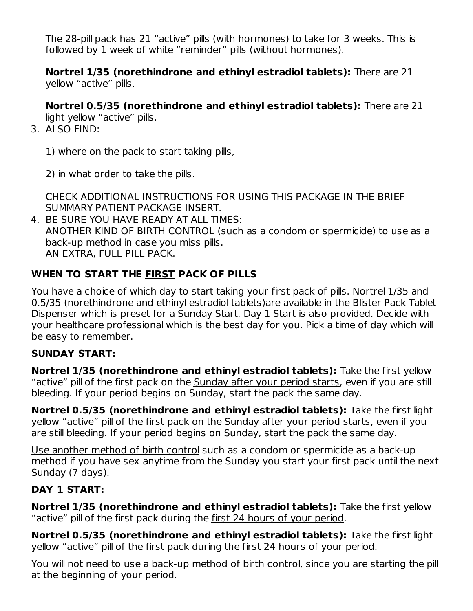The 28-pill pack has 21 "active" pills (with hormones) to take for 3 weeks. This is followed by 1 week of white "reminder" pills (without hormones).

**Nortrel 1/35 (norethindrone and ethinyl estradiol tablets):** There are 21 yellow "active" pills.

### **Nortrel 0.5/35 (norethindrone and ethinyl estradiol tablets):** There are 21

light yellow "active" pills.

3. ALSO FIND:

1) where on the pack to start taking pills,

2) in what order to take the pills.

CHECK ADDITIONAL INSTRUCTIONS FOR USING THIS PACKAGE IN THE BRIEF SUMMARY PATIENT PACKAGE INSERT.

4. BE SURE YOU HAVE READY AT ALL TIMES: ANOTHER KIND OF BIRTH CONTROL (such as a condom or spermicide) to use as a back-up method in case you miss pills. AN EXTRA, FULL PILL PACK.

### **WHEN TO START THE FIRST PACK OF PILLS**

You have a choice of which day to start taking your first pack of pills. Nortrel 1/35 and 0.5/35 (norethindrone and ethinyl estradiol tablets)are available in the Blister Pack Tablet Dispenser which is preset for a Sunday Start. Day 1 Start is also provided. Decide with your healthcare professional which is the best day for you. Pick a time of day which will be easy to remember.

#### **SUNDAY START:**

**Nortrel 1/35 (norethindrone and ethinyl estradiol tablets):** Take the first yellow "active" pill of the first pack on the Sunday after your period starts, even if you are still bleeding. If your period begins on Sunday, start the pack the same day.

**Nortrel 0.5/35 (norethindrone and ethinyl estradiol tablets):** Take the first light yellow "active" pill of the first pack on the Sunday after your period starts, even if you are still bleeding. If your period begins on Sunday, start the pack the same day.

Use another method of birth control such as a condom or spermicide as a back-up method if you have sex anytime from the Sunday you start your first pack until the next Sunday (7 days).

#### **DAY 1 START:**

**Nortrel 1/35 (norethindrone and ethinyl estradiol tablets):** Take the first yellow "active" pill of the first pack during the first 24 hours of your period.

**Nortrel 0.5/35 (norethindrone and ethinyl estradiol tablets):** Take the first light yellow "active" pill of the first pack during the first 24 hours of your period.

You will not need to use a back-up method of birth control, since you are starting the pill at the beginning of your period.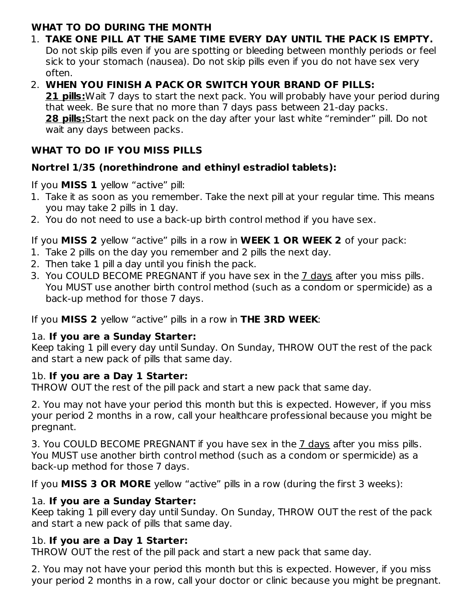# **WHAT TO DO DURING THE MONTH**

#### 1. **TAKE ONE PILL AT THE SAME TIME EVERY DAY UNTIL THE PACK IS EMPTY.** Do not skip pills even if you are spotting or bleeding between monthly periods or feel sick to your stomach (nausea). Do not skip pills even if you do not have sex very often.

### 2. **WHEN YOU FINISH A PACK OR SWITCH YOUR BRAND OF PILLS:**

**21 pills:**Wait 7 days to start the next pack. You will probably have your period during that week. Be sure that no more than 7 days pass between 21-day packs. **28 pills:**Start the next pack on the day after your last white "reminder" pill. Do not wait any days between packs.

### **WHAT TO DO IF YOU MISS PILLS**

### **Nortrel 1/35 (norethindrone and ethinyl estradiol tablets):**

#### If you **MISS 1** yellow "active" pill:

- 1. Take it as soon as you remember. Take the next pill at your regular time. This means you may take 2 pills in 1 day.
- 2. You do not need to use a back-up birth control method if you have sex.

### If you **MISS 2** yellow "active" pills in a row in **WEEK 1 OR WEEK 2** of your pack:

- 1. Take 2 pills on the day you remember and 2 pills the next day.
- 2. Then take 1 pill a day until you finish the pack.
- 3. You COULD BECOME PREGNANT if you have sex in the 7 days after you miss pills. You MUST use another birth control method (such as a condom or spermicide) as a back-up method for those 7 days.

### If you **MISS 2** yellow "active" pills in a row in **THE 3RD WEEK**:

### 1a. **If you are a Sunday Starter:**

Keep taking 1 pill every day until Sunday. On Sunday, THROW OUT the rest of the pack and start a new pack of pills that same day.

#### 1b. **If you are a Day 1 Starter:**

THROW OUT the rest of the pill pack and start a new pack that same day.

2. You may not have your period this month but this is expected. However, if you miss your period 2 months in a row, call your healthcare professional because you might be pregnant.

3. You COULD BECOME PREGNANT if you have sex in the <u>7 days</u> after you miss pills. You MUST use another birth control method (such as a condom or spermicide) as a back-up method for those 7 days.

If you **MISS 3 OR MORE** yellow "active" pills in a row (during the first 3 weeks):

#### 1a. **If you are a Sunday Starter:**

Keep taking 1 pill every day until Sunday. On Sunday, THROW OUT the rest of the pack and start a new pack of pills that same day.

### 1b. **If you are a Day 1 Starter:**

THROW OUT the rest of the pill pack and start a new pack that same day.

2. You may not have your period this month but this is expected. However, if you miss your period 2 months in a row, call your doctor or clinic because you might be pregnant.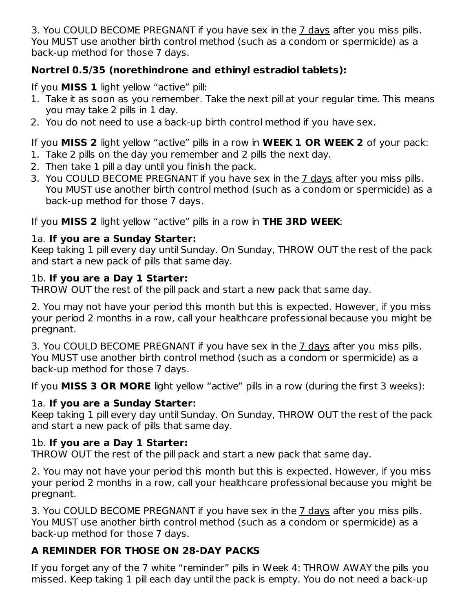3. You COULD BECOME PREGNANT if you have sex in the 7 days after you miss pills. You MUST use another birth control method (such as a condom or spermicide) as a back-up method for those 7 days.

### **Nortrel 0.5/35 (norethindrone and ethinyl estradiol tablets):**

### If you **MISS 1** light yellow "active" pill:

- 1. Take it as soon as you remember. Take the next pill at your regular time. This means you may take 2 pills in 1 day.
- 2. You do not need to use a back-up birth control method if you have sex.

### If you **MISS 2** light yellow "active" pills in a row in **WEEK 1 OR WEEK 2** of your pack:

- 1. Take 2 pills on the day you remember and 2 pills the next day.
- 2. Then take 1 pill a day until you finish the pack.
- 3. You COULD BECOME PREGNANT if you have sex in the 7 days after you miss pills. You MUST use another birth control method (such as a condom or spermicide) as a back-up method for those 7 days.

### If you **MISS 2** light yellow "active" pills in a row in **THE 3RD WEEK**:

### 1a. **If you are a Sunday Starter:**

Keep taking 1 pill every day until Sunday. On Sunday, THROW OUT the rest of the pack and start a new pack of pills that same day.

### 1b. **If you are a Day 1 Starter:**

THROW OUT the rest of the pill pack and start a new pack that same day.

2. You may not have your period this month but this is expected. However, if you miss your period 2 months in a row, call your healthcare professional because you might be pregnant.

3. You COULD BECOME PREGNANT if you have sex in the 7 days after you miss pills. You MUST use another birth control method (such as a condom or spermicide) as a back-up method for those 7 days.

If you **MISS 3 OR MORE** light yellow "active" pills in a row (during the first 3 weeks):

### 1a. **If you are a Sunday Starter:**

Keep taking 1 pill every day until Sunday. On Sunday, THROW OUT the rest of the pack and start a new pack of pills that same day.

### 1b. **If you are a Day 1 Starter:**

THROW OUT the rest of the pill pack and start a new pack that same day.

2. You may not have your period this month but this is expected. However, if you miss your period 2 months in a row, call your healthcare professional because you might be pregnant.

3. You COULD BECOME PREGNANT if you have sex in the 7 days after you miss pills. You MUST use another birth control method (such as a condom or spermicide) as a back-up method for those 7 days.

# **A REMINDER FOR THOSE ON 28-DAY PACKS**

If you forget any of the 7 white "reminder" pills in Week 4: THROW AWAY the pills you missed. Keep taking 1 pill each day until the pack is empty. You do not need a back-up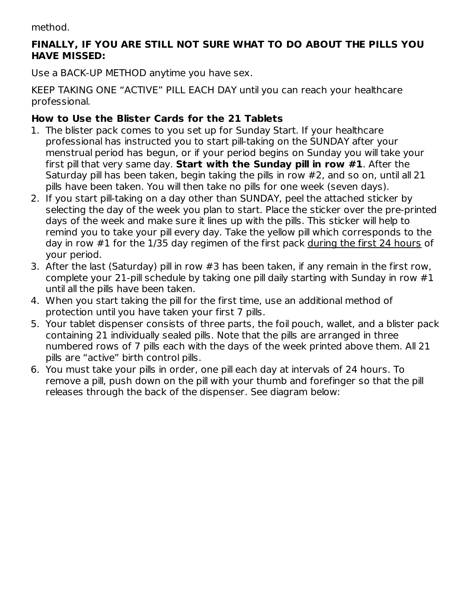#### method.

#### **FINALLY, IF YOU ARE STILL NOT SURE WHAT TO DO ABOUT THE PILLS YOU HAVE MISSED:**

Use a BACK-UP METHOD anytime you have sex.

KEEP TAKING ONE "ACTIVE" PILL EACH DAY until you can reach your healthcare professional.

### **How to Use the Blister Cards for the 21 Tablets**

- 1. The blister pack comes to you set up for Sunday Start. If your healthcare professional has instructed you to start pill-taking on the SUNDAY after your menstrual period has begun, or if your period begins on Sunday you will take your first pill that very same day. **Start with the Sunday pill in row #1**. After the Saturday pill has been taken, begin taking the pills in row #2, and so on, until all 21 pills have been taken. You will then take no pills for one week (seven days).
- 2. If you start pill-taking on a day other than SUNDAY, peel the attached sticker by selecting the day of the week you plan to start. Place the sticker over the pre-printed days of the week and make sure it lines up with the pills. This sticker will help to remind you to take your pill every day. Take the yellow pill which corresponds to the day in row #1 for the 1/35 day regimen of the first pack during the first 24 hours of your period.
- 3. After the last (Saturday) pill in row #3 has been taken, if any remain in the first row, complete your 21-pill schedule by taking one pill daily starting with Sunday in row #1 until all the pills have been taken.
- 4. When you start taking the pill for the first time, use an additional method of protection until you have taken your first 7 pills.
- 5. Your tablet dispenser consists of three parts, the foil pouch, wallet, and a blister pack containing 21 individually sealed pills. Note that the pills are arranged in three numbered rows of 7 pills each with the days of the week printed above them. All 21 pills are "active" birth control pills.
- 6. You must take your pills in order, one pill each day at intervals of 24 hours. To remove a pill, push down on the pill with your thumb and forefinger so that the pill releases through the back of the dispenser. See diagram below: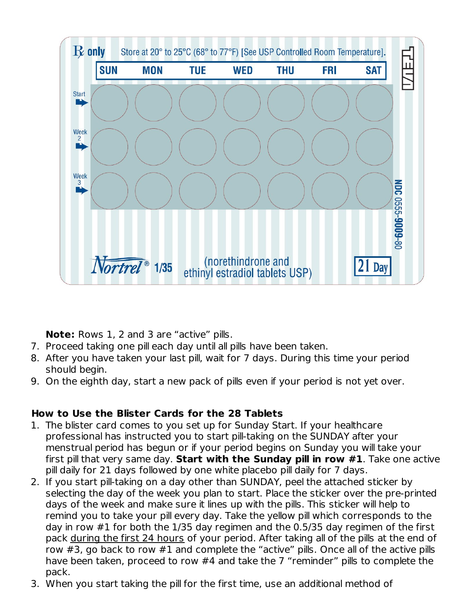

**Note:** Rows 1, 2 and 3 are "active" pills.

- 7. Proceed taking one pill each day until all pills have been taken.
- 8. After you have taken your last pill, wait for 7 days. During this time your period should begin.
- 9. On the eighth day, start a new pack of pills even if your period is not yet over.

# **How to Use the Blister Cards for the 28 Tablets**

- 1. The blister card comes to you set up for Sunday Start. If your healthcare professional has instructed you to start pill-taking on the SUNDAY after your menstrual period has begun or if your period begins on Sunday you will take your first pill that very same day. **Start with the Sunday pill in row #1**. Take one active pill daily for 21 days followed by one white placebo pill daily for 7 days.
- 2. If you start pill-taking on a day other than SUNDAY, peel the attached sticker by selecting the day of the week you plan to start. Place the sticker over the pre-printed days of the week and make sure it lines up with the pills. This sticker will help to remind you to take your pill every day. Take the yellow pill which corresponds to the day in row #1 for both the 1/35 day regimen and the 0.5/35 day regimen of the first pack during the first 24 hours of your period. After taking all of the pills at the end of row #3, go back to row #1 and complete the "active" pills. Once all of the active pills have been taken, proceed to row #4 and take the 7 "reminder" pills to complete the pack.
- 3. When you start taking the pill for the first time, use an additional method of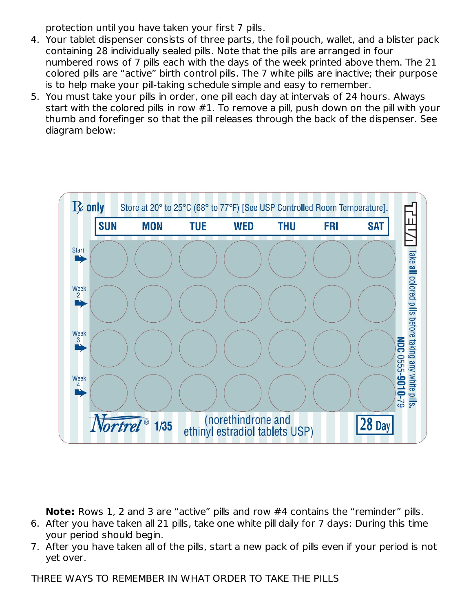protection until you have taken your first 7 pills.

- 4. Your tablet dispenser consists of three parts, the foil pouch, wallet, and a blister pack containing 28 individually sealed pills. Note that the pills are arranged in four numbered rows of 7 pills each with the days of the week printed above them. The 21 colored pills are "active" birth control pills. The 7 white pills are inactive; their purpose is to help make your pill-taking schedule simple and easy to remember.
- 5. You must take your pills in order, one pill each day at intervals of 24 hours. Always start with the colored pills in row #1. To remove a pill, push down on the pill with your thumb and forefinger so that the pill releases through the back of the dispenser. See diagram below:



**Note:** Rows 1, 2 and 3 are "active" pills and row #4 contains the "reminder" pills.

- 6. After you have taken all 21 pills, take one white pill daily for 7 days: During this time your period should begin.
- 7. After you have taken all of the pills, start a new pack of pills even if your period is not yet over.

THREE WAYS TO REMEMBER IN WHAT ORDER TO TAKE THE PILLS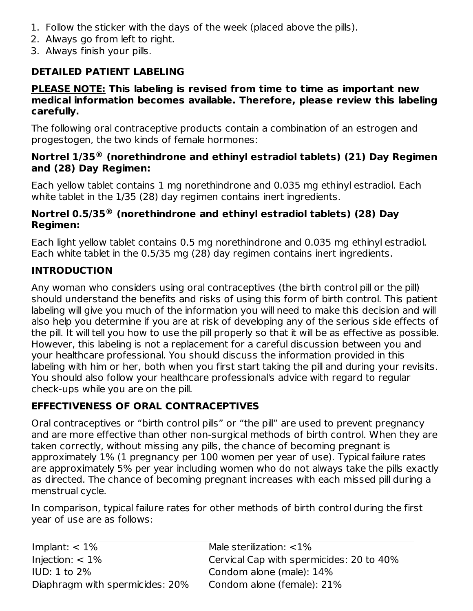- 1. Follow the sticker with the days of the week (placed above the pills).
- 2. Always go from left to right.
- 3. Always finish your pills.

# **DETAILED PATIENT LABELING**

#### **PLEASE NOTE: This labeling is revised from time to time as important new medical information becomes available. Therefore, please review this labeling carefully.**

The following oral contraceptive products contain a combination of an estrogen and progestogen, the two kinds of female hormones:

### **Nortrel 1/35 (norethindrone and ethinyl estradiol tablets) (21) Day Regimen ® and (28) Day Regimen:**

Each yellow tablet contains 1 mg norethindrone and 0.035 mg ethinyl estradiol. Each white tablet in the 1/35 (28) day regimen contains inert ingredients.

### **Nortrel 0.5/35 (norethindrone and ethinyl estradiol tablets) (28) Day ®Regimen:**

Each light yellow tablet contains 0.5 mg norethindrone and 0.035 mg ethinyl estradiol. Each white tablet in the 0.5/35 mg (28) day regimen contains inert ingredients.

# **INTRODUCTION**

Any woman who considers using oral contraceptives (the birth control pill or the pill) should understand the benefits and risks of using this form of birth control. This patient labeling will give you much of the information you will need to make this decision and will also help you determine if you are at risk of developing any of the serious side effects of the pill. It will tell you how to use the pill properly so that it will be as effective as possible. However, this labeling is not a replacement for a careful discussion between you and your healthcare professional. You should discuss the information provided in this labeling with him or her, both when you first start taking the pill and during your revisits. You should also follow your healthcare professional's advice with regard to regular check-ups while you are on the pill.

# **EFFECTIVENESS OF ORAL CONTRACEPTIVES**

Oral contraceptives or "birth control pills" or "the pill" are used to prevent pregnancy and are more effective than other non-surgical methods of birth control. When they are taken correctly, without missing any pills, the chance of becoming pregnant is approximately 1% (1 pregnancy per 100 women per year of use). Typical failure rates are approximately 5% per year including women who do not always take the pills exactly as directed. The chance of becoming pregnant increases with each missed pill during a menstrual cycle.

In comparison, typical failure rates for other methods of birth control during the first year of use are as follows:

| Implant: $< 1\%$                | Male sterilization: $<$ 1%               |
|---------------------------------|------------------------------------------|
| Injection: $< 1\%$              | Cervical Cap with spermicides: 20 to 40% |
| ID: 1 to 2%                     | Condom alone (male): 14%                 |
| Diaphragm with spermicides: 20% | Condom alone (female): 21%               |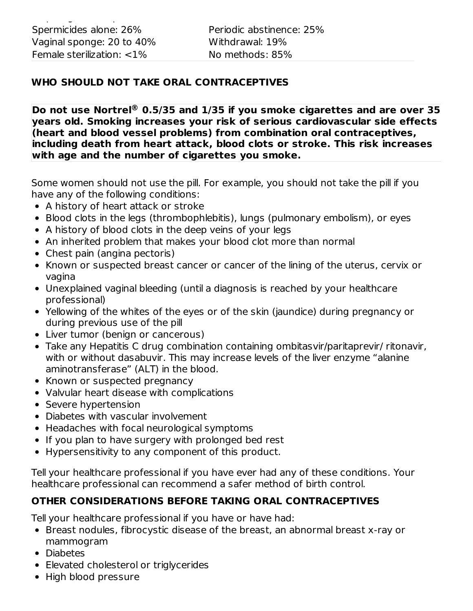### **WHO SHOULD NOT TAKE ORAL CONTRACEPTIVES**

Diaphragm with spermicides: 20% Condom alone (female): 21%

**Do not use Nortrel 0.5/35 and 1/35 if you smoke cigarettes and are over 35 ®years old. Smoking increases your risk of serious cardiovascular side effects (heart and blood vessel problems) from combination oral contraceptives, including death from heart attack, blood clots or stroke. This risk increases with age and the number of cigarettes you smoke.**

Some women should not use the pill. For example, you should not take the pill if you have any of the following conditions:

- A history of heart attack or stroke
- Blood clots in the legs (thrombophlebitis), lungs (pulmonary embolism), or eyes
- A history of blood clots in the deep veins of your legs
- An inherited problem that makes your blood clot more than normal
- Chest pain (angina pectoris)
- Known or suspected breast cancer or cancer of the lining of the uterus, cervix or vagina
- Unexplained vaginal bleeding (until a diagnosis is reached by your healthcare professional)
- Yellowing of the whites of the eyes or of the skin (jaundice) during pregnancy or during previous use of the pill
- Liver tumor (benign or cancerous)
- Take any Hepatitis C drug combination containing ombitasvir/paritaprevir/ ritonavir, with or without dasabuvir. This may increase levels of the liver enzyme "alanine" aminotransferase" (ALT) in the blood.
- Known or suspected pregnancy
- Valvular heart disease with complications
- Severe hypertension
- Diabetes with vascular involvement
- Headaches with focal neurological symptoms
- If you plan to have surgery with prolonged bed rest
- Hypersensitivity to any component of this product.

Tell your healthcare professional if you have ever had any of these conditions. Your healthcare professional can recommend a safer method of birth control.

# **OTHER CONSIDERATIONS BEFORE TAKING ORAL CONTRACEPTIVES**

Tell your healthcare professional if you have or have had:

- Breast nodules, fibrocystic disease of the breast, an abnormal breast x-ray or mammogram
- Diabetes
- Elevated cholesterol or triglycerides
- High blood pressure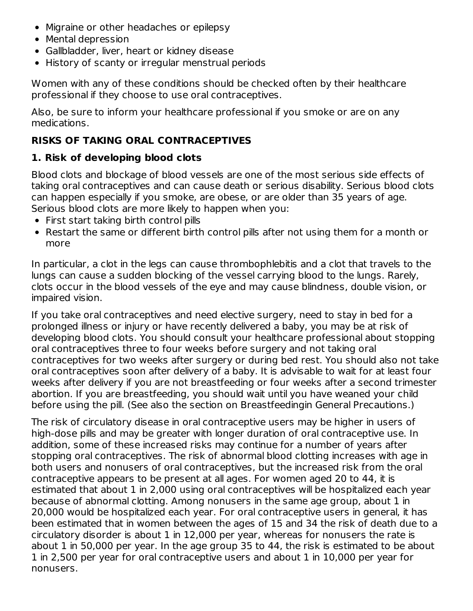- Migraine or other headaches or epilepsy
- Mental depression
- Gallbladder, liver, heart or kidney disease
- History of scanty or irregular menstrual periods

Women with any of these conditions should be checked often by their healthcare professional if they choose to use oral contraceptives.

Also, be sure to inform your healthcare professional if you smoke or are on any medications.

# **RISKS OF TAKING ORAL CONTRACEPTIVES**

### **1. Risk of developing blood clots**

Blood clots and blockage of blood vessels are one of the most serious side effects of taking oral contraceptives and can cause death or serious disability. Serious blood clots can happen especially if you smoke, are obese, or are older than 35 years of age. Serious blood clots are more likely to happen when you:

- First start taking birth control pills
- Restart the same or different birth control pills after not using them for a month or more

In particular, a clot in the legs can cause thrombophlebitis and a clot that travels to the lungs can cause a sudden blocking of the vessel carrying blood to the lungs. Rarely, clots occur in the blood vessels of the eye and may cause blindness, double vision, or impaired vision.

If you take oral contraceptives and need elective surgery, need to stay in bed for a prolonged illness or injury or have recently delivered a baby, you may be at risk of developing blood clots. You should consult your healthcare professional about stopping oral contraceptives three to four weeks before surgery and not taking oral contraceptives for two weeks after surgery or during bed rest. You should also not take oral contraceptives soon after delivery of a baby. It is advisable to wait for at least four weeks after delivery if you are not breastfeeding or four weeks after a second trimester abortion. If you are breastfeeding, you should wait until you have weaned your child before using the pill. (See also the section on Breastfeedingin General Precautions.)

The risk of circulatory disease in oral contraceptive users may be higher in users of high-dose pills and may be greater with longer duration of oral contraceptive use. In addition, some of these increased risks may continue for a number of years after stopping oral contraceptives. The risk of abnormal blood clotting increases with age in both users and nonusers of oral contraceptives, but the increased risk from the oral contraceptive appears to be present at all ages. For women aged 20 to 44, it is estimated that about 1 in 2,000 using oral contraceptives will be hospitalized each year because of abnormal clotting. Among nonusers in the same age group, about 1 in 20,000 would be hospitalized each year. For oral contraceptive users in general, it has been estimated that in women between the ages of 15 and 34 the risk of death due to a circulatory disorder is about 1 in 12,000 per year, whereas for nonusers the rate is about 1 in 50,000 per year. In the age group 35 to 44, the risk is estimated to be about 1 in 2,500 per year for oral contraceptive users and about 1 in 10,000 per year for nonusers.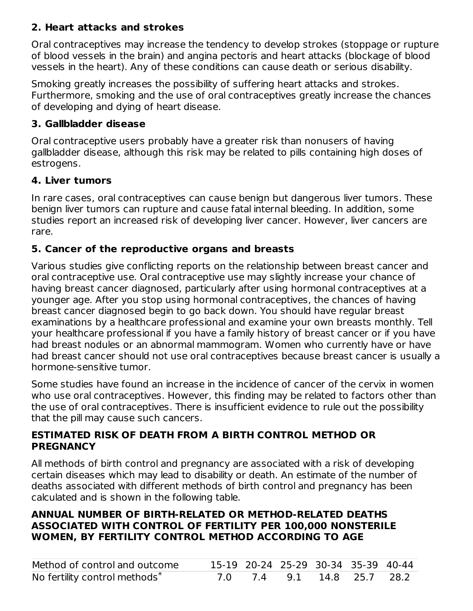### **2. Heart attacks and strokes**

Oral contraceptives may increase the tendency to develop strokes (stoppage or rupture of blood vessels in the brain) and angina pectoris and heart attacks (blockage of blood vessels in the heart). Any of these conditions can cause death or serious disability.

Smoking greatly increases the possibility of suffering heart attacks and strokes. Furthermore, smoking and the use of oral contraceptives greatly increase the chances of developing and dying of heart disease.

### **3. Gallbladder disease**

Oral contraceptive users probably have a greater risk than nonusers of having gallbladder disease, although this risk may be related to pills containing high doses of estrogens.

### **4. Liver tumors**

In rare cases, oral contraceptives can cause benign but dangerous liver tumors. These benign liver tumors can rupture and cause fatal internal bleeding. In addition, some studies report an increased risk of developing liver cancer. However, liver cancers are rare.

### **5. Cancer of the reproductive organs and breasts**

Various studies give conflicting reports on the relationship between breast cancer and oral contraceptive use. Oral contraceptive use may slightly increase your chance of having breast cancer diagnosed, particularly after using hormonal contraceptives at a younger age. After you stop using hormonal contraceptives, the chances of having breast cancer diagnosed begin to go back down. You should have regular breast examinations by a healthcare professional and examine your own breasts monthly. Tell your healthcare professional if you have a family history of breast cancer or if you have had breast nodules or an abnormal mammogram. Women who currently have or have had breast cancer should not use oral contraceptives because breast cancer is usually a hormone-sensitive tumor.

Some studies have found an increase in the incidence of cancer of the cervix in women who use oral contraceptives. However, this finding may be related to factors other than the use of oral contraceptives. There is insufficient evidence to rule out the possibility that the pill may cause such cancers.

### **ESTIMATED RISK OF DEATH FROM A BIRTH CONTROL METHOD OR PREGNANCY**

All methods of birth control and pregnancy are associated with a risk of developing certain diseases which may lead to disability or death. An estimate of the number of deaths associated with different methods of birth control and pregnancy has been calculated and is shown in the following table.

#### **ANNUAL NUMBER OF BIRTH-RELATED OR METHOD-RELATED DEATHS ASSOCIATED WITH CONTROL OF FERTILITY PER 100,000 NONSTERILE WOMEN, BY FERTILITY CONTROL METHOD ACCORDING TO AGE**

| Method of control and outcome |  |  | 15-19 20-24 25-29 30-34 35-39 40-44 |  |
|-------------------------------|--|--|-------------------------------------|--|
| No fertility control methods* |  |  | 7.0 7.4 9.1 14.8 25.7 28.2          |  |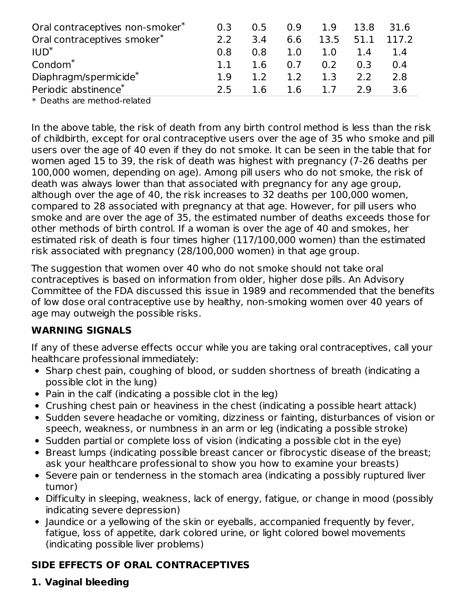| Oral contraceptives non-smoker*   | 0.3 | 0.5 | 0.9 | 1.9  | 13.8 | 31.6  |
|-----------------------------------|-----|-----|-----|------|------|-------|
| Oral contraceptives smoker*       | 2.2 | 3.4 | 6.6 | 13.5 | 51.1 | 117.2 |
| $IUD^*$                           | 0.8 | 0.8 | 1.O | 1.0  | 14   | 1.4   |
| $Condom^*$                        | 1.1 | 1.6 | 0.7 | 0.2  | በ 3  | 0.4   |
| Diaphragm/spermicide <sup>*</sup> | 1.9 | 12  | 12  | 1.3  | 22   | 2.8   |
| Periodic abstinence <sup>*</sup>  | 2.5 | 1 6 | 1 ค | 17   | 2 g  | 3.6   |

\* Deaths are method-related

In the above table, the risk of death from any birth control method is less than the risk of childbirth, except for oral contraceptive users over the age of 35 who smoke and pill users over the age of 40 even if they do not smoke. It can be seen in the table that for women aged 15 to 39, the risk of death was highest with pregnancy (7-26 deaths per 100,000 women, depending on age). Among pill users who do not smoke, the risk of death was always lower than that associated with pregnancy for any age group, although over the age of 40, the risk increases to 32 deaths per 100,000 women, compared to 28 associated with pregnancy at that age. However, for pill users who smoke and are over the age of 35, the estimated number of deaths exceeds those for other methods of birth control. If a woman is over the age of 40 and smokes, her estimated risk of death is four times higher (117/100,000 women) than the estimated risk associated with pregnancy (28/100,000 women) in that age group.

The suggestion that women over 40 who do not smoke should not take oral contraceptives is based on information from older, higher dose pills. An Advisory Committee of the FDA discussed this issue in 1989 and recommended that the benefits of low dose oral contraceptive use by healthy, non-smoking women over 40 years of age may outweigh the possible risks.

# **WARNING SIGNALS**

If any of these adverse effects occur while you are taking oral contraceptives, call your healthcare professional immediately:

- Sharp chest pain, coughing of blood, or sudden shortness of breath (indicating a possible clot in the lung)
- Pain in the calf (indicating a possible clot in the leg)
- Crushing chest pain or heaviness in the chest (indicating a possible heart attack)
- Sudden severe headache or vomiting, dizziness or fainting, disturbances of vision or speech, weakness, or numbness in an arm or leg (indicating a possible stroke)
- Sudden partial or complete loss of vision (indicating a possible clot in the eye)
- Breast lumps (indicating possible breast cancer or fibrocystic disease of the breast; ask your healthcare professional to show you how to examine your breasts)
- Severe pain or tenderness in the stomach area (indicating a possibly ruptured liver tumor)
- Difficulty in sleeping, weakness, lack of energy, fatigue, or change in mood (possibly indicating severe depression)
- Jaundice or a yellowing of the skin or eyeballs, accompanied frequently by fever, fatigue, loss of appetite, dark colored urine, or light colored bowel movements (indicating possible liver problems)

# **SIDE EFFECTS OF ORAL CONTRACEPTIVES**

**1. Vaginal bleeding**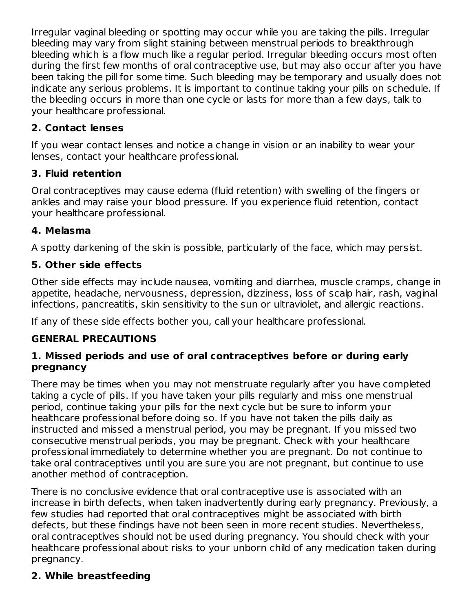Irregular vaginal bleeding or spotting may occur while you are taking the pills. Irregular bleeding may vary from slight staining between menstrual periods to breakthrough bleeding which is a flow much like a regular period. Irregular bleeding occurs most often during the first few months of oral contraceptive use, but may also occur after you have been taking the pill for some time. Such bleeding may be temporary and usually does not indicate any serious problems. It is important to continue taking your pills on schedule. If the bleeding occurs in more than one cycle or lasts for more than a few days, talk to your healthcare professional.

# **2. Contact lenses**

If you wear contact lenses and notice a change in vision or an inability to wear your lenses, contact your healthcare professional.

### **3. Fluid retention**

Oral contraceptives may cause edema (fluid retention) with swelling of the fingers or ankles and may raise your blood pressure. If you experience fluid retention, contact your healthcare professional.

### **4. Melasma**

A spotty darkening of the skin is possible, particularly of the face, which may persist.

### **5. Other side effects**

Other side effects may include nausea, vomiting and diarrhea, muscle cramps, change in appetite, headache, nervousness, depression, dizziness, loss of scalp hair, rash, vaginal infections, pancreatitis, skin sensitivity to the sun or ultraviolet, and allergic reactions.

If any of these side effects bother you, call your healthcare professional.

# **GENERAL PRECAUTIONS**

### **1. Missed periods and use of oral contraceptives before or during early pregnancy**

There may be times when you may not menstruate regularly after you have completed taking a cycle of pills. If you have taken your pills regularly and miss one menstrual period, continue taking your pills for the next cycle but be sure to inform your healthcare professional before doing so. If you have not taken the pills daily as instructed and missed a menstrual period, you may be pregnant. If you missed two consecutive menstrual periods, you may be pregnant. Check with your healthcare professional immediately to determine whether you are pregnant. Do not continue to take oral contraceptives until you are sure you are not pregnant, but continue to use another method of contraception.

There is no conclusive evidence that oral contraceptive use is associated with an increase in birth defects, when taken inadvertently during early pregnancy. Previously, a few studies had reported that oral contraceptives might be associated with birth defects, but these findings have not been seen in more recent studies. Nevertheless, oral contraceptives should not be used during pregnancy. You should check with your healthcare professional about risks to your unborn child of any medication taken during pregnancy.

# **2. While breastfeeding**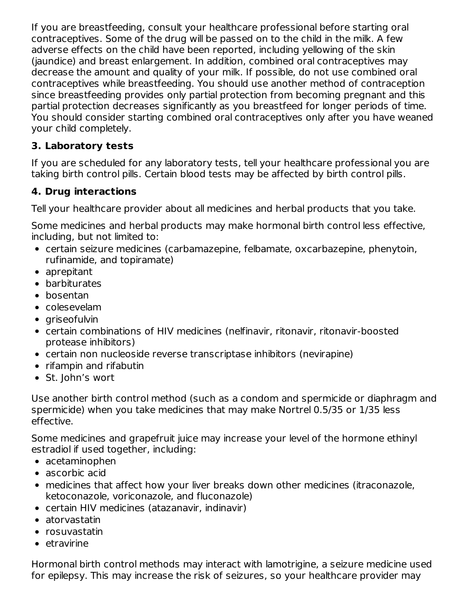If you are breastfeeding, consult your healthcare professional before starting oral contraceptives. Some of the drug will be passed on to the child in the milk. A few adverse effects on the child have been reported, including yellowing of the skin (jaundice) and breast enlargement. In addition, combined oral contraceptives may decrease the amount and quality of your milk. If possible, do not use combined oral contraceptives while breastfeeding. You should use another method of contraception since breastfeeding provides only partial protection from becoming pregnant and this partial protection decreases significantly as you breastfeed for longer periods of time. You should consider starting combined oral contraceptives only after you have weaned your child completely.

# **3. Laboratory tests**

If you are scheduled for any laboratory tests, tell your healthcare professional you are taking birth control pills. Certain blood tests may be affected by birth control pills.

### **4. Drug interactions**

Tell your healthcare provider about all medicines and herbal products that you take.

Some medicines and herbal products may make hormonal birth control less effective, including, but not limited to:

- certain seizure medicines (carbamazepine, felbamate, oxcarbazepine, phenytoin, rufinamide, and topiramate)
- aprepitant
- barbiturates
- bosentan
- colesevelam
- griseofulvin
- certain combinations of HIV medicines (nelfinavir, ritonavir, ritonavir-boosted protease inhibitors)
- certain non nucleoside reverse transcriptase inhibitors (nevirapine)
- rifampin and rifabutin
- St. John's wort

Use another birth control method (such as a condom and spermicide or diaphragm and spermicide) when you take medicines that may make Nortrel 0.5/35 or 1/35 less effective.

Some medicines and grapefruit juice may increase your level of the hormone ethinyl estradiol if used together, including:

- acetaminophen
- ascorbic acid
- medicines that affect how your liver breaks down other medicines (itraconazole, ketoconazole, voriconazole, and fluconazole)
- certain HIV medicines (atazanavir, indinavir)
- atorvastatin
- rosuvastatin
- etravirine

Hormonal birth control methods may interact with lamotrigine, a seizure medicine used for epilepsy. This may increase the risk of seizures, so your healthcare provider may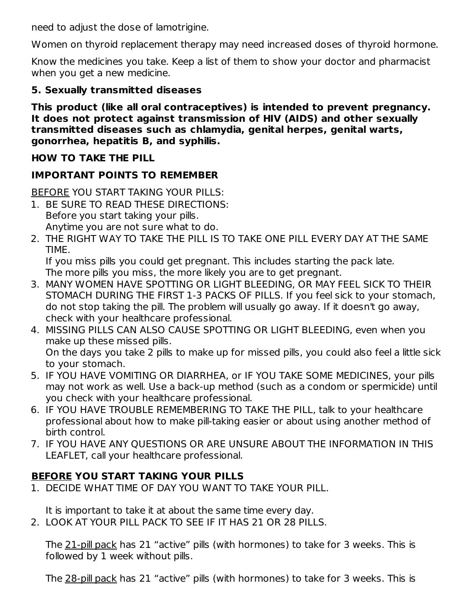need to adjust the dose of lamotrigine.

Women on thyroid replacement therapy may need increased doses of thyroid hormone.

Know the medicines you take. Keep a list of them to show your doctor and pharmacist when you get a new medicine.

### **5. Sexually transmitted diseases**

**This product (like all oral contraceptives) is intended to prevent pregnancy. It does not protect against transmission of HIV (AIDS) and other sexually transmitted diseases such as chlamydia, genital herpes, genital warts, gonorrhea, hepatitis B, and syphilis.**

# **HOW TO TAKE THE PILL**

# **IMPORTANT POINTS TO REMEMBER**

BEFORE YOU START TAKING YOUR PILLS:

- 1. BE SURE TO READ THESE DIRECTIONS: Before you start taking your pills. Anytime you are not sure what to do.
- 2. THE RIGHT WAY TO TAKE THE PILL IS TO TAKE ONE PILL EVERY DAY AT THE SAME TIME.

If you miss pills you could get pregnant. This includes starting the pack late. The more pills you miss, the more likely you are to get pregnant.

- 3. MANY WOMEN HAVE SPOTTING OR LIGHT BLEEDING, OR MAY FEEL SICK TO THEIR STOMACH DURING THE FIRST 1-3 PACKS OF PILLS. If you feel sick to your stomach, do not stop taking the pill. The problem will usually go away. If it doesn't go away, check with your healthcare professional.
- 4. MISSING PILLS CAN ALSO CAUSE SPOTTING OR LIGHT BLEEDING, even when you make up these missed pills. On the days you take 2 pills to make up for missed pills, you could also feel a little sick to your stomach.
- 5. IF YOU HAVE VOMITING OR DIARRHEA, or IF YOU TAKE SOME MEDICINES, your pills may not work as well. Use a back-up method (such as a condom or spermicide) until you check with your healthcare professional.
- 6. IF YOU HAVE TROUBLE REMEMBERING TO TAKE THE PILL, talk to your healthcare professional about how to make pill-taking easier or about using another method of birth control.
- 7. IF YOU HAVE ANY QUESTIONS OR ARE UNSURE ABOUT THE INFORMATION IN THIS LEAFLET, call your healthcare professional.

# **BEFORE YOU START TAKING YOUR PILLS**

1. DECIDE WHAT TIME OF DAY YOU WANT TO TAKE YOUR PILL.

It is important to take it at about the same time every day.

2. LOOK AT YOUR PILL PACK TO SEE IF IT HAS 21 OR 28 PILLS.

The 21-pill pack has 21 "active" pills (with hormones) to take for 3 weeks. This is followed by 1 week without pills.

The 28-pill pack has 21 "active" pills (with hormones) to take for 3 weeks. This is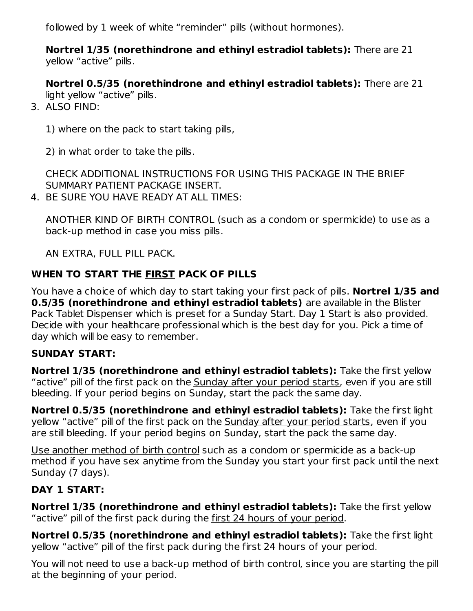followed by 1 week of white "reminder" pills (without hormones).

**Nortrel 1/35 (norethindrone and ethinyl estradiol tablets):** There are 21 yellow "active" pills.

**Nortrel 0.5/35 (norethindrone and ethinyl estradiol tablets):** There are 21 light yellow "active" pills.

3. ALSO FIND:

1) where on the pack to start taking pills,

2) in what order to take the pills.

CHECK ADDITIONAL INSTRUCTIONS FOR USING THIS PACKAGE IN THE BRIEF SUMMARY PATIENT PACKAGE INSERT.

4. BE SURE YOU HAVE READY AT ALL TIMES:

ANOTHER KIND OF BIRTH CONTROL (such as a condom or spermicide) to use as a back-up method in case you miss pills.

AN EXTRA, FULL PILL PACK.

### **WHEN TO START THE FIRST PACK OF PILLS**

You have a choice of which day to start taking your first pack of pills. **Nortrel 1/35 and 0.5/35 (norethindrone and ethinyl estradiol tablets)** are available in the Blister Pack Tablet Dispenser which is preset for a Sunday Start. Day 1 Start is also provided. Decide with your healthcare professional which is the best day for you. Pick a time of day which will be easy to remember.

#### **SUNDAY START:**

**Nortrel 1/35 (norethindrone and ethinyl estradiol tablets):** Take the first yellow "active" pill of the first pack on the Sunday after your period starts, even if you are still bleeding. If your period begins on Sunday, start the pack the same day.

**Nortrel 0.5/35 (norethindrone and ethinyl estradiol tablets):** Take the first light yellow "active" pill of the first pack on the Sunday after your period starts, even if you are still bleeding. If your period begins on Sunday, start the pack the same day.

Use another method of birth control such as a condom or spermicide as a back-up method if you have sex anytime from the Sunday you start your first pack until the next Sunday (7 days).

#### **DAY 1 START:**

**Nortrel 1/35 (norethindrone and ethinyl estradiol tablets):** Take the first yellow "active" pill of the first pack during the first 24 hours of your period.

**Nortrel 0.5/35 (norethindrone and ethinyl estradiol tablets):** Take the first light yellow "active" pill of the first pack during the first 24 hours of your period.

You will not need to use a back-up method of birth control, since you are starting the pill at the beginning of your period.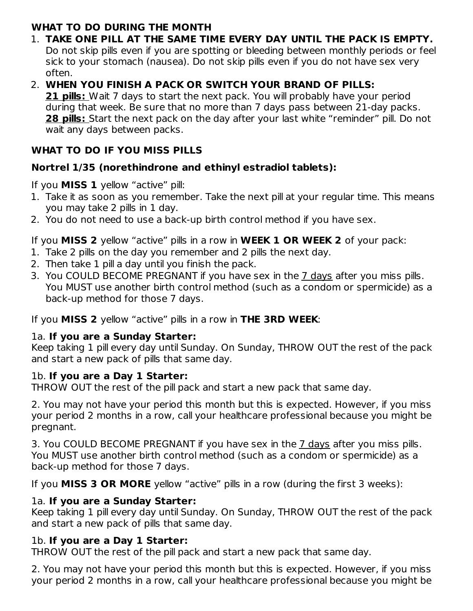# **WHAT TO DO DURING THE MONTH**

#### 1. **TAKE ONE PILL AT THE SAME TIME EVERY DAY UNTIL THE PACK IS EMPTY.** Do not skip pills even if you are spotting or bleeding between monthly periods or feel sick to your stomach (nausea). Do not skip pills even if you do not have sex very often.

# 2. **WHEN YOU FINISH A PACK OR SWITCH YOUR BRAND OF PILLS:**

**21 pills:** Wait 7 days to start the next pack. You will probably have your period during that week. Be sure that no more than 7 days pass between 21-day packs. **28 pills:** Start the next pack on the day after your last white "reminder" pill. Do not wait any days between packs.

### **WHAT TO DO IF YOU MISS PILLS**

#### **Nortrel 1/35 (norethindrone and ethinyl estradiol tablets):**

#### If you **MISS 1** yellow "active" pill:

- 1. Take it as soon as you remember. Take the next pill at your regular time. This means you may take 2 pills in 1 day.
- 2. You do not need to use a back-up birth control method if you have sex.

### If you **MISS 2** yellow "active" pills in a row in **WEEK 1 OR WEEK 2** of your pack:

- 1. Take 2 pills on the day you remember and 2 pills the next day.
- 2. Then take 1 pill a day until you finish the pack.
- 3. You COULD BECOME PREGNANT if you have sex in the 7 days after you miss pills. You MUST use another birth control method (such as a condom or spermicide) as a back-up method for those 7 days.

#### If you **MISS 2** yellow "active" pills in a row in **THE 3RD WEEK**:

#### 1a. **If you are a Sunday Starter:**

Keep taking 1 pill every day until Sunday. On Sunday, THROW OUT the rest of the pack and start a new pack of pills that same day.

#### 1b. **If you are a Day 1 Starter:**

THROW OUT the rest of the pill pack and start a new pack that same day.

2. You may not have your period this month but this is expected. However, if you miss your period 2 months in a row, call your healthcare professional because you might be pregnant.

3. You COULD BECOME PREGNANT if you have sex in the 7 days after you miss pills. You MUST use another birth control method (such as a condom or spermicide) as a back-up method for those 7 days.

If you **MISS 3 OR MORE** yellow "active" pills in a row (during the first 3 weeks):

#### 1a. **If you are a Sunday Starter:**

Keep taking 1 pill every day until Sunday. On Sunday, THROW OUT the rest of the pack and start a new pack of pills that same day.

#### 1b. **If you are a Day 1 Starter:**

THROW OUT the rest of the pill pack and start a new pack that same day.

2. You may not have your period this month but this is expected. However, if you miss your period 2 months in a row, call your healthcare professional because you might be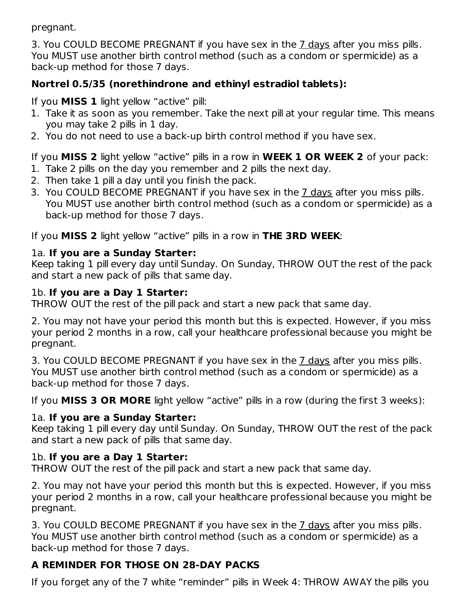pregnant.

3. You COULD BECOME PREGNANT if you have sex in the 7 days after you miss pills. You MUST use another birth control method (such as a condom or spermicide) as a back-up method for those 7 days.

### **Nortrel 0.5/35 (norethindrone and ethinyl estradiol tablets):**

### If you **MISS 1** light yellow "active" pill:

- 1. Take it as soon as you remember. Take the next pill at your regular time. This means you may take 2 pills in 1 day.
- 2. You do not need to use a back-up birth control method if you have sex.

### If you **MISS 2** light yellow "active" pills in a row in **WEEK 1 OR WEEK 2** of your pack:

- 1. Take 2 pills on the day you remember and 2 pills the next day.
- 2. Then take 1 pill a day until you finish the pack.
- 3. You COULD BECOME PREGNANT if you have sex in the 7 days after you miss pills. You MUST use another birth control method (such as a condom or spermicide) as a back-up method for those 7 days.

### If you **MISS 2** light yellow "active" pills in a row in **THE 3RD WEEK**:

### 1a. **If you are a Sunday Starter:**

Keep taking 1 pill every day until Sunday. On Sunday, THROW OUT the rest of the pack and start a new pack of pills that same day.

### 1b. **If you are a Day 1 Starter:**

THROW OUT the rest of the pill pack and start a new pack that same day.

2. You may not have your period this month but this is expected. However, if you miss your period 2 months in a row, call your healthcare professional because you might be pregnant.

3. You COULD BECOME PREGNANT if you have sex in the 7 days after you miss pills. You MUST use another birth control method (such as a condom or spermicide) as a back-up method for those 7 days.

If you **MISS 3 OR MORE** light yellow "active" pills in a row (during the first 3 weeks):

### 1a. **If you are a Sunday Starter:**

Keep taking 1 pill every day until Sunday. On Sunday, THROW OUT the rest of the pack and start a new pack of pills that same day.

# 1b. **If you are a Day 1 Starter:**

THROW OUT the rest of the pill pack and start a new pack that same day.

2. You may not have your period this month but this is expected. However, if you miss your period 2 months in a row, call your healthcare professional because you might be pregnant.

3. You COULD BECOME PREGNANT if you have sex in the 7 days after you miss pills. You MUST use another birth control method (such as a condom or spermicide) as a back-up method for those 7 days.

# **A REMINDER FOR THOSE ON 28-DAY PACKS**

If you forget any of the 7 white "reminder" pills in Week 4: THROW AWAY the pills you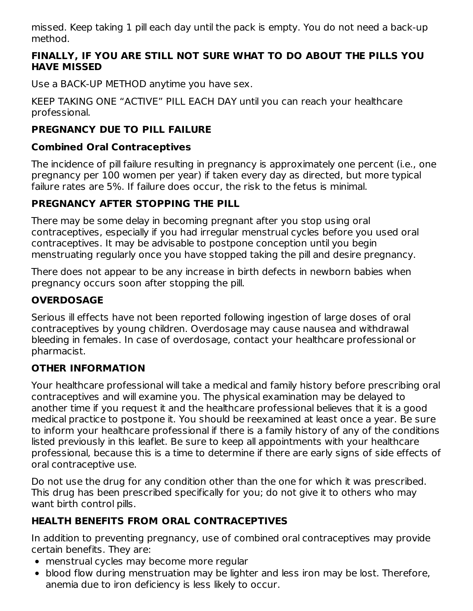missed. Keep taking 1 pill each day until the pack is empty. You do not need a back-up method.

### **FINALLY, IF YOU ARE STILL NOT SURE WHAT TO DO ABOUT THE PILLS YOU HAVE MISSED**

Use a BACK-UP METHOD anytime you have sex.

KEEP TAKING ONE "ACTIVE" PILL EACH DAY until you can reach your healthcare professional.

# **PREGNANCY DUE TO PILL FAILURE**

# **Combined Oral Contraceptives**

The incidence of pill failure resulting in pregnancy is approximately one percent (i.e., one pregnancy per 100 women per year) if taken every day as directed, but more typical failure rates are 5%. If failure does occur, the risk to the fetus is minimal.

# **PREGNANCY AFTER STOPPING THE PILL**

There may be some delay in becoming pregnant after you stop using oral contraceptives, especially if you had irregular menstrual cycles before you used oral contraceptives. It may be advisable to postpone conception until you begin menstruating regularly once you have stopped taking the pill and desire pregnancy.

There does not appear to be any increase in birth defects in newborn babies when pregnancy occurs soon after stopping the pill.

# **OVERDOSAGE**

Serious ill effects have not been reported following ingestion of large doses of oral contraceptives by young children. Overdosage may cause nausea and withdrawal bleeding in females. In case of overdosage, contact your healthcare professional or pharmacist.

# **OTHER INFORMATION**

Your healthcare professional will take a medical and family history before prescribing oral contraceptives and will examine you. The physical examination may be delayed to another time if you request it and the healthcare professional believes that it is a good medical practice to postpone it. You should be reexamined at least once a year. Be sure to inform your healthcare professional if there is a family history of any of the conditions listed previously in this leaflet. Be sure to keep all appointments with your healthcare professional, because this is a time to determine if there are early signs of side effects of oral contraceptive use.

Do not use the drug for any condition other than the one for which it was prescribed. This drug has been prescribed specifically for you; do not give it to others who may want birth control pills.

# **HEALTH BENEFITS FROM ORAL CONTRACEPTIVES**

In addition to preventing pregnancy, use of combined oral contraceptives may provide certain benefits. They are:

- menstrual cycles may become more regular
- blood flow during menstruation may be lighter and less iron may be lost. Therefore, anemia due to iron deficiency is less likely to occur.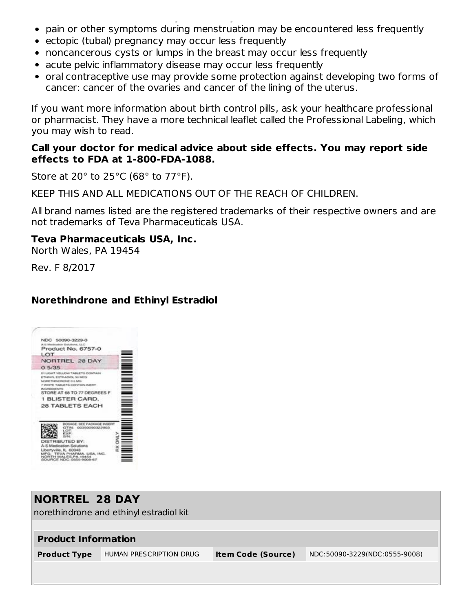- pain or other symptoms during menstruation may be encountered less frequently
- ectopic (tubal) pregnancy may occur less frequently

anemia due to iron deficiency is less likely to occur.

- noncancerous cysts or lumps in the breast may occur less frequently
- acute pelvic inflammatory disease may occur less frequently
- oral contraceptive use may provide some protection against developing two forms of cancer: cancer of the ovaries and cancer of the lining of the uterus.

If you want more information about birth control pills, ask your healthcare professional or pharmacist. They have a more technical leaflet called the Professional Labeling, which you may wish to read.

#### **Call your doctor for medical advice about side effects. You may report side effects to FDA at 1-800-FDA-1088.**

Store at 20° to 25°C (68° to 77°F).

KEEP THIS AND ALL MEDICATIONS OUT OF THE REACH OF CHILDREN.

All brand names listed are the registered trademarks of their respective owners and are not trademarks of Teva Pharmaceuticals USA.

#### **Teva Pharmaceuticals USA, Inc.**

North Wales, PA 19454

Rev. F 8/2017

#### **Norethindrone and Ethinyl Estradiol**



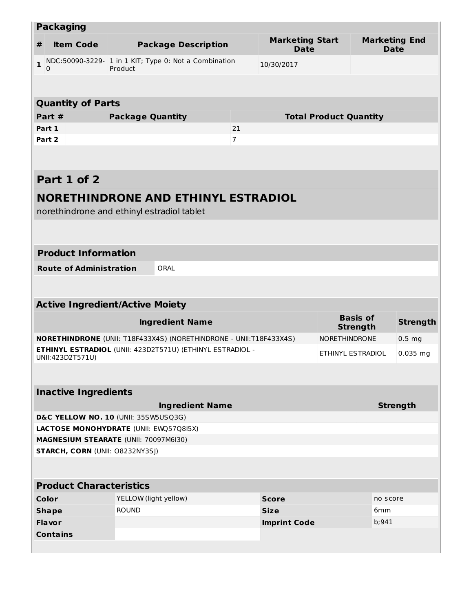| <b>Packaging</b>                                                                |                                       |                                                                           |                |                                       |                               |                                     |                   |
|---------------------------------------------------------------------------------|---------------------------------------|---------------------------------------------------------------------------|----------------|---------------------------------------|-------------------------------|-------------------------------------|-------------------|
| $\#$<br><b>Item Code</b>                                                        |                                       | <b>Package Description</b>                                                |                | <b>Marketing Start</b><br><b>Date</b> |                               | <b>Marketing End</b><br><b>Date</b> |                   |
| $\mathbf{1}$<br>0                                                               | Product                               | NDC:50090-3229- 1 in 1 KIT; Type 0: Not a Combination                     |                | 10/30/2017                            |                               |                                     |                   |
|                                                                                 |                                       |                                                                           |                |                                       |                               |                                     |                   |
| <b>Quantity of Parts</b>                                                        |                                       |                                                                           |                |                                       |                               |                                     |                   |
| Part #<br>Part 1                                                                | <b>Package Quantity</b>               |                                                                           | 21             |                                       | <b>Total Product Quantity</b> |                                     |                   |
| Part 2                                                                          |                                       |                                                                           | $\overline{7}$ |                                       |                               |                                     |                   |
|                                                                                 |                                       |                                                                           |                |                                       |                               |                                     |                   |
| Part 1 of 2                                                                     |                                       |                                                                           |                |                                       |                               |                                     |                   |
|                                                                                 |                                       |                                                                           |                |                                       |                               |                                     |                   |
|                                                                                 |                                       | <b>NORETHINDRONE AND ETHINYL ESTRADIOL</b>                                |                |                                       |                               |                                     |                   |
| norethindrone and ethinyl estradiol tablet                                      |                                       |                                                                           |                |                                       |                               |                                     |                   |
|                                                                                 |                                       |                                                                           |                |                                       |                               |                                     |                   |
| <b>Product Information</b>                                                      |                                       |                                                                           |                |                                       |                               |                                     |                   |
| <b>Route of Administration</b>                                                  |                                       | ORAL                                                                      |                |                                       |                               |                                     |                   |
|                                                                                 |                                       |                                                                           |                |                                       |                               |                                     |                   |
| <b>Active Ingredient/Active Moiety</b>                                          |                                       |                                                                           |                |                                       |                               |                                     |                   |
|                                                                                 |                                       | <b>Ingredient Name</b>                                                    |                |                                       |                               | <b>Basis of</b><br><b>Strength</b>  | <b>Strength</b>   |
|                                                                                 |                                       | <b>NORETHINDRONE</b> (UNII: T18F433X4S) (NORETHINDRONE - UNII:T18F433X4S) |                |                                       | <b>NORETHINDRONE</b>          |                                     | 0.5 <sub>mg</sub> |
| UNII:423D2T571U)                                                                |                                       | <b>ETHINYL ESTRADIOL (UNII: 423D2T571U) (ETHINYL ESTRADIOL -</b>          |                |                                       |                               | ETHINYL ESTRADIOL                   | $0.035$ mg        |
|                                                                                 |                                       |                                                                           |                |                                       |                               |                                     |                   |
| <b>Inactive Ingredients</b>                                                     |                                       |                                                                           |                |                                       |                               |                                     |                   |
|                                                                                 |                                       | <b>Ingredient Name</b>                                                    |                |                                       |                               |                                     | <b>Strength</b>   |
| D&C YELLOW NO. 10 (UNII: 35SW5USQ3G)                                            |                                       |                                                                           |                |                                       |                               |                                     |                   |
| LACTOSE MONOHYDRATE (UNII: EWQ57Q8I5X)                                          |                                       |                                                                           |                |                                       |                               |                                     |                   |
| MAGNESIUM STEARATE (UNII: 70097M6I30)<br><b>STARCH, CORN (UNII: O8232NY3SJ)</b> |                                       |                                                                           |                |                                       |                               |                                     |                   |
|                                                                                 |                                       |                                                                           |                |                                       |                               |                                     |                   |
|                                                                                 |                                       |                                                                           |                |                                       |                               |                                     |                   |
| <b>Product Characteristics</b>                                                  |                                       |                                                                           |                |                                       |                               |                                     |                   |
| Color                                                                           | YELLOW (light yellow)<br><b>Score</b> |                                                                           |                | no score                              |                               |                                     |                   |
| <b>Shape</b>                                                                    | <b>ROUND</b><br><b>Size</b>           |                                                                           |                | 6 <sub>mm</sub>                       |                               |                                     |                   |
| Flavor                                                                          | <b>Imprint Code</b>                   |                                                                           |                |                                       | b;941                         |                                     |                   |
| <b>Contains</b>                                                                 |                                       |                                                                           |                |                                       |                               |                                     |                   |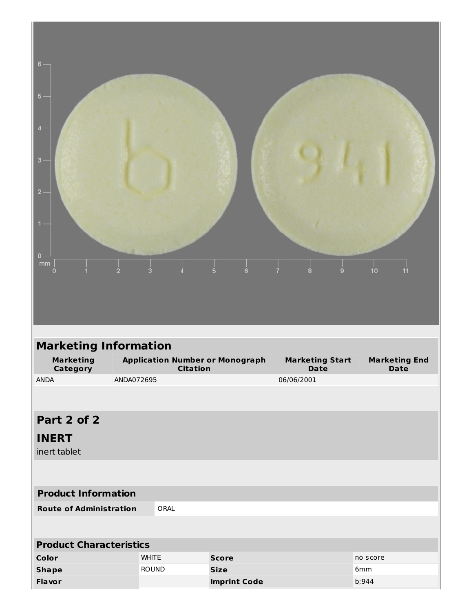| $6 -$<br>$5-$<br>4<br>$3 -$<br>$2 -$<br>$1 -$ |                                                           |              |                                |                              |
|-----------------------------------------------|-----------------------------------------------------------|--------------|--------------------------------|------------------------------|
| $\bullet$<br>$\mathsf{mm}$<br>$\mathbf{0}$    | 3                                                         | 5<br>6       | 9<br>8                         | $\dot{11}$<br>10             |
| <b>Marketing Information</b>                  |                                                           |              |                                |                              |
| <b>Marketing</b><br><b>Category</b>           | <b>Application Number or Monograph</b><br><b>Citation</b> |              | <b>Marketing Start</b><br>Date | <b>Marketing End</b><br>Date |
| <b>ANDA</b>                                   | ANDA072695                                                |              | 06/06/2001                     |                              |
|                                               |                                                           |              |                                |                              |
| Part 2 of 2                                   |                                                           |              |                                |                              |
| <b>INERT</b>                                  |                                                           |              |                                |                              |
| inert tablet                                  |                                                           |              |                                |                              |
|                                               |                                                           |              |                                |                              |
| <b>Product Information</b>                    |                                                           |              |                                |                              |
| <b>Route of Administration</b>                | ORAL                                                      |              |                                |                              |
|                                               |                                                           |              |                                |                              |
| <b>Product Characteristics</b>                |                                                           |              |                                |                              |
| Color                                         |                                                           |              |                                |                              |
|                                               | <b>WHITE</b>                                              | <b>Score</b> |                                | no score                     |
| <b>Shape</b>                                  | <b>ROUND</b>                                              | <b>Size</b>  |                                | 6mm                          |